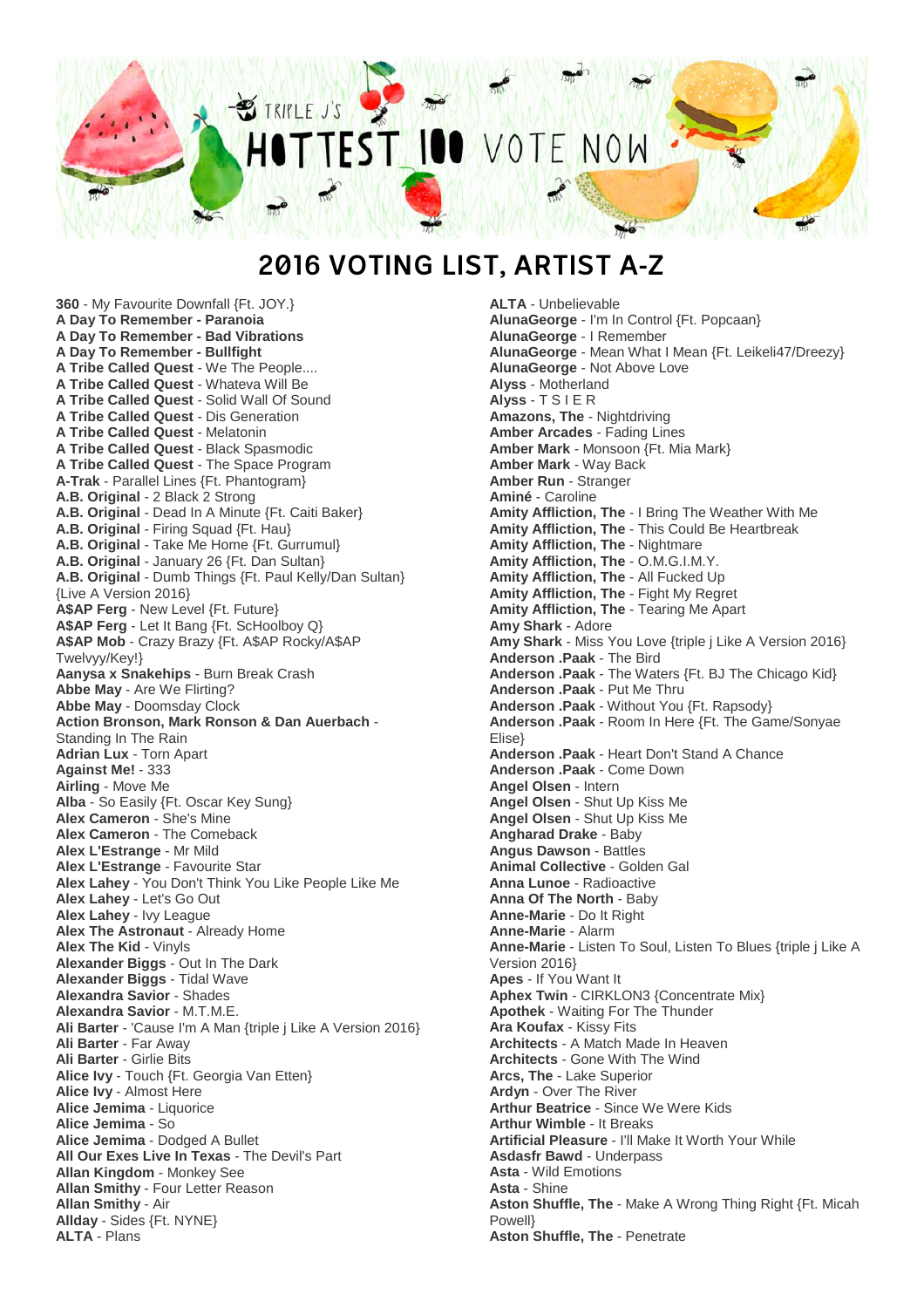

## **2016 VOTING LIST, ARTIST A-Z**

**360** - My Favourite Downfall {Ft. JOY.} **A Day To Remember - Paranoia A Day To Remember - Bad Vibrations A Day To Remember - Bullfight A Tribe Called Quest** - We The People.... **A Tribe Called Quest** - Whateva Will Be **A Tribe Called Quest** - Solid Wall Of Sound **A Tribe Called Quest** - Dis Generation **A Tribe Called Quest** - Melatonin **A Tribe Called Quest** - Black Spasmodic **A Tribe Called Quest** - The Space Program **A-Trak** - Parallel Lines {Ft. Phantogram} **A.B. Original** - 2 Black 2 Strong **A.B. Original** - Dead In A Minute {Ft. Caiti Baker} **A.B. Original** - Firing Squad {Ft. Hau} **A.B. Original** - Take Me Home {Ft. Gurrumul} **A.B. Original** - January 26 {Ft. Dan Sultan} **A.B. Original** - Dumb Things {Ft. Paul Kelly/Dan Sultan} {Live A Version 2016} **A\$AP Ferg** - New Level {Ft. Future} **A\$AP Ferg** - Let It Bang {Ft. ScHoolboy Q} **A\$AP Mob** - Crazy Brazy {Ft. A\$AP Rocky/A\$AP Twelvyy/Key!} **Aanysa x Snakehips** - Burn Break Crash **Abbe May** - Are We Flirting? **Abbe May** - Doomsday Clock **Action Bronson, Mark Ronson & Dan Auerbach** - Standing In The Rain **Adrian Lux** - Torn Apart **Against Me!** - 333 **Airling** - Move Me **Alba** - So Easily {Ft. Oscar Key Sung} **Alex Cameron** - She's Mine **Alex Cameron** - The Comeback **Alex L'Estrange** - Mr Mild **Alex L'Estrange** - Favourite Star **Alex Lahey** - You Don't Think You Like People Like Me **Alex Lahey** - Let's Go Out **Alex Lahey** - Ivy League **Alex The Astronaut** - Already Home **Alex The Kid** - Vinyls **Alexander Biggs** - Out In The Dark **Alexander Biggs** - Tidal Wave **Alexandra Savior** - Shades **Alexandra Savior** - M.T.M.E. **Ali Barter** - 'Cause I'm A Man {triple j Like A Version 2016} **Ali Barter** - Far Away **Ali Barter** - Girlie Bits **Alice Ivy** - Touch {Ft. Georgia Van Etten} **Alice Ivy** - Almost Here **Alice Jemima** - Liquorice **Alice Jemima** - So **Alice Jemima** - Dodged A Bullet **All Our Exes Live In Texas** - The Devil's Part **Allan Kingdom** - Monkey See **Allan Smithy** - Four Letter Reason **Allan Smithy** - Air **Allday** - Sides {Ft. NYNE} **ALTA** - Plans

**ALTA** - Unbelievable **AlunaGeorge** - I'm In Control {Ft. Popcaan} **AlunaGeorge** - I Remember **AlunaGeorge** - Mean What I Mean {Ft. Leikeli47/Dreezy} **AlunaGeorge** - Not Above Love **Alyss** - Motherland **Alyss** - T S I E R **Amazons, The** - Nightdriving **Amber Arcades** - Fading Lines **Amber Mark** - Monsoon {Ft. Mia Mark} **Amber Mark** - Way Back **Amber Run** - Stranger **Aminé** - Caroline **Amity Affliction, The** - I Bring The Weather With Me **Amity Affliction, The** - This Could Be Heartbreak **Amity Affliction, The** - Nightmare **Amity Affliction, The** - O.M.G.I.M.Y. **Amity Affliction, The** - All Fucked Up **Amity Affliction, The** - Fight My Regret **Amity Affliction, The** - Tearing Me Apart **Amy Shark** - Adore **Amy Shark** - Miss You Love {triple j Like A Version 2016} **Anderson .Paak** - The Bird **Anderson .Paak** - The Waters {Ft. BJ The Chicago Kid} **Anderson .Paak** - Put Me Thru **Anderson .Paak** - Without You {Ft. Rapsody} **Anderson .Paak** - Room In Here {Ft. The Game/Sonyae Elise} **Anderson .Paak** - Heart Don't Stand A Chance **Anderson .Paak** - Come Down **Angel Olsen** - Intern **Angel Olsen** - Shut Up Kiss Me **Angel Olsen** - Shut Up Kiss Me **Angharad Drake** - Baby **Angus Dawson** - Battles **Animal Collective** - Golden Gal **Anna Lunoe** - Radioactive **Anna Of The North** - Baby **Anne-Marie** - Do It Right **Anne-Marie** - Alarm **Anne-Marie** - Listen To Soul, Listen To Blues {triple j Like A Version 2016} **Apes** - If You Want It **Aphex Twin** - CIRKLON3 {Concentrate Mix} **Apothek** - Waiting For The Thunder **Ara Koufax** - Kissy Fits **Architects** - A Match Made In Heaven **Architects** - Gone With The Wind **Arcs, The** - Lake Superior **Ardyn** - Over The River **Arthur Beatrice** - Since We Were Kids **Arthur Wimble** - It Breaks **Artificial Pleasure** - I'll Make It Worth Your While **Asdasfr Bawd** - Underpass **Asta** - Wild Emotions **Asta** - Shine **Aston Shuffle, The** - Make A Wrong Thing Right {Ft. Micah Powell} **Aston Shuffle, The** - Penetrate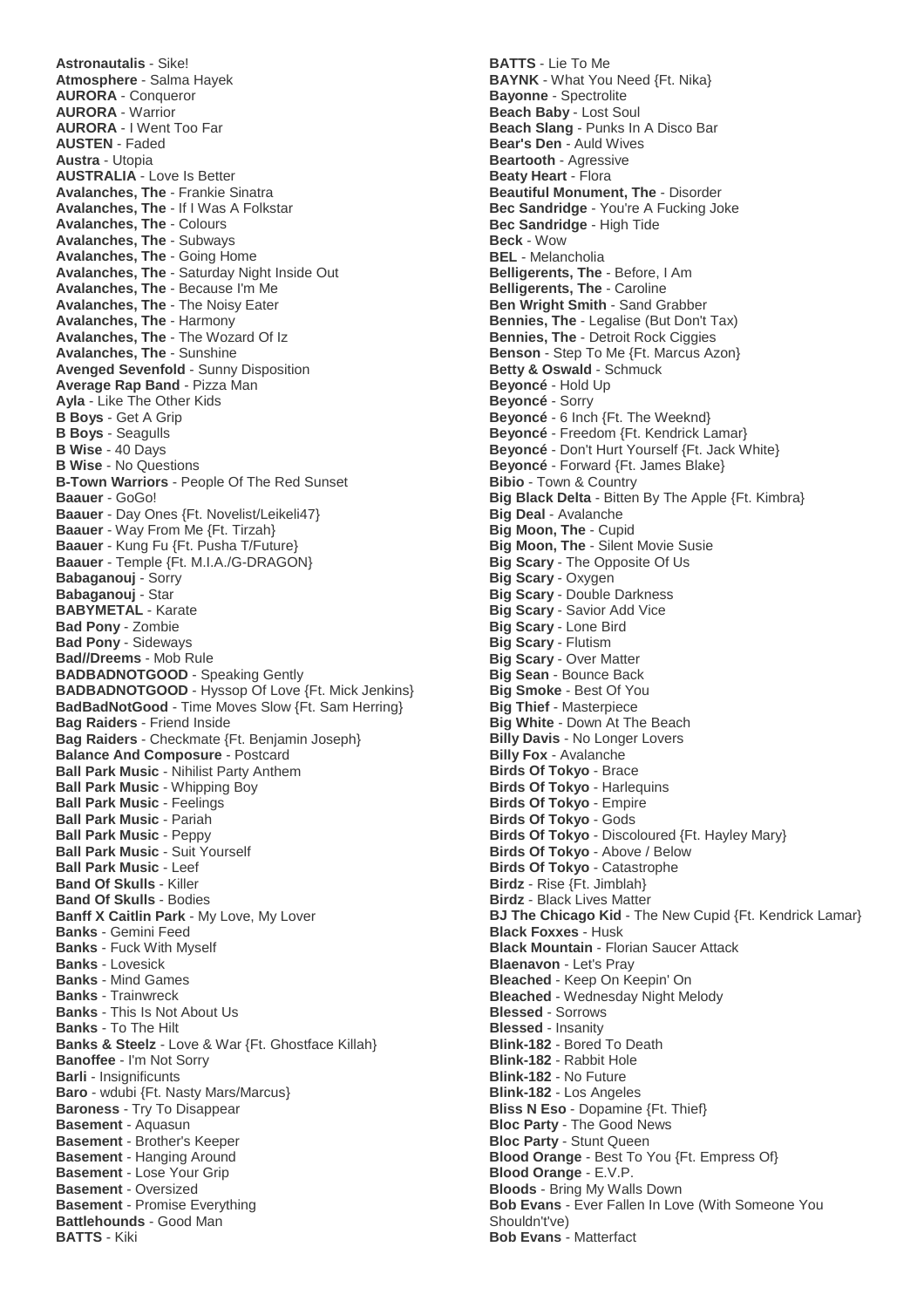**Astronautalis** - Sike! **Atmosphere** - Salma Hayek **AURORA** - Conqueror **AURORA** - Warrior **AURORA** - I Went Too Far **AUSTEN** - Faded **Austra** - Utopia **AUSTRALIA** - Love Is Better **Avalanches, The** - Frankie Sinatra **Avalanches, The** - If I Was A Folkstar **Avalanches, The** - Colours **Avalanches, The** - Subways **Avalanches, The** - Going Home **Avalanches, The** - Saturday Night Inside Out **Avalanches, The** - Because I'm Me **Avalanches, The** - The Noisy Eater **Avalanches, The** - Harmony **Avalanches, The** - The Wozard Of Iz **Avalanches, The** - Sunshine **Avenged Sevenfold** - Sunny Disposition **Average Rap Band** - Pizza Man **Ayla** - Like The Other Kids **B Boys** - Get A Grip **B Boys** - Seagulls **B Wise** - 40 Days **B Wise** - No Questions **B-Town Warriors** - People Of The Red Sunset **Baauer** - GoGo! **Baauer** - Day Ones {Ft. Novelist/Leikeli47} **Baauer** - Way From Me {Ft. Tirzah} **Baauer** - Kung Fu {Ft. Pusha T/Future} **Baauer** - Temple {Ft. M.I.A./G-DRAGON} **Babaganouj** - Sorry **Babaganouj** - Star **BABYMETAL** - Karate **Bad Pony** - Zombie **Bad Pony** - Sideways **Bad//Dreems** - Mob Rule **BADBADNOTGOOD** - Speaking Gently **BADBADNOTGOOD** - Hyssop Of Love {Ft. Mick Jenkins} **BadBadNotGood** - Time Moves Slow {Ft. Sam Herring} **Bag Raiders** - Friend Inside **Bag Raiders** - Checkmate {Ft. Benjamin Joseph} **Balance And Composure** - Postcard **Ball Park Music** - Nihilist Party Anthem **Ball Park Music** - Whipping Boy **Ball Park Music** - Feelings **Ball Park Music** - Pariah **Ball Park Music** - Peppy **Ball Park Music** - Suit Yourself **Ball Park Music** - Leef **Band Of Skulls** - Killer **Band Of Skulls** - Bodies **Banff X Caitlin Park** - My Love, My Lover **Banks** - Gemini Feed **Banks** - Fuck With Myself **Banks** - Lovesick **Banks** - Mind Games **Banks** - Trainwreck **Banks** - This Is Not About Us **Banks** - To The Hilt **Banks & Steelz** - Love & War {Ft. Ghostface Killah} **Banoffee** - I'm Not Sorry **Barli** - Insignificunts **Baro** - wdubi {Ft. Nasty Mars/Marcus} **Baroness** - Try To Disappear **Basement** - Aquasun **Basement** - Brother's Keeper **Basement** - Hanging Around **Basement** - Lose Your Grip **Basement** - Oversized **Basement** - Promise Everything **Battlehounds** - Good Man **BATTS** - Kiki

**BATTS** - Lie To Me **BAYNK** - What You Need {Ft. Nika} **Bayonne** - Spectrolite **Beach Baby** - Lost Soul **Beach Slang** - Punks In A Disco Bar **Bear's Den** - Auld Wives **Beartooth** - Agressive **Beaty Heart** - Flora **Beautiful Monument, The** - Disorder **Bec Sandridge** - You're A Fucking Joke **Bec Sandridge** - High Tide **Beck** - Wow **BEL** - Melancholia **Belligerents, The** - Before, I Am **Belligerents, The** - Caroline **Ben Wright Smith** - Sand Grabber **Bennies, The** - Legalise (But Don't Tax) **Bennies, The** - Detroit Rock Ciggies **Benson** - Step To Me {Ft. Marcus Azon} **Betty & Oswald** - Schmuck **Beyoncé** - Hold Up **Beyoncé** - Sorry **Beyoncé** - 6 Inch {Ft. The Weeknd} **Beyoncé** - Freedom {Ft. Kendrick Lamar} **Beyoncé** - Don't Hurt Yourself {Ft. Jack White} **Beyoncé** - Forward {Ft. James Blake} **Bibio** - Town & Country **Big Black Delta** - Bitten By The Apple {Ft. Kimbra} **Big Deal** - Avalanche **Big Moon, The** - Cupid **Big Moon, The** - Silent Movie Susie **Big Scary** - The Opposite Of Us **Big Scary** - Oxygen **Big Scary** - Double Darkness **Big Scary** - Savior Add Vice **Big Scary** - Lone Bird **Big Scary** - Flutism **Big Scary** - Over Matter **Big Sean** - Bounce Back **Big Smoke** - Best Of You **Big Thief** - Masterpiece **Big White** - Down At The Beach **Billy Davis** - No Longer Lovers **Billy Fox** - Avalanche **Birds Of Tokyo** - Brace **Birds Of Tokyo** - Harlequins **Birds Of Tokyo** - Empire **Birds Of Tokyo** - Gods **Birds Of Tokyo** - Discoloured {Ft. Hayley Mary} **Birds Of Tokyo** - Above / Below **Birds Of Tokyo** - Catastrophe **Birdz** - Rise {Ft. Jimblah} **Birdz** - Black Lives Matter **BJ The Chicago Kid - The New Cupid {Ft. Kendrick Lamar} Black Foxxes** - Husk **Black Mountain** - Florian Saucer Attack **Blaenavon** - Let's Pray **Bleached** - Keep On Keepin' On **Bleached** - Wednesday Night Melody **Blessed** - Sorrows **Blessed** - Insanity **Blink-182** - Bored To Death **Blink-182** - Rabbit Hole **Blink-182** - No Future **Blink-182** - Los Angeles **Bliss N Eso** - Dopamine {Ft. Thief} **Bloc Party** - The Good News **Bloc Party** - Stunt Queen **Blood Orange** - Best To You {Ft. Empress Of} **Blood Orange** - E.V.P. **Bloods** - Bring My Walls Down **Bob Evans** - Ever Fallen In Love (With Someone You Shouldn't've) **Bob Evans** - Matterfact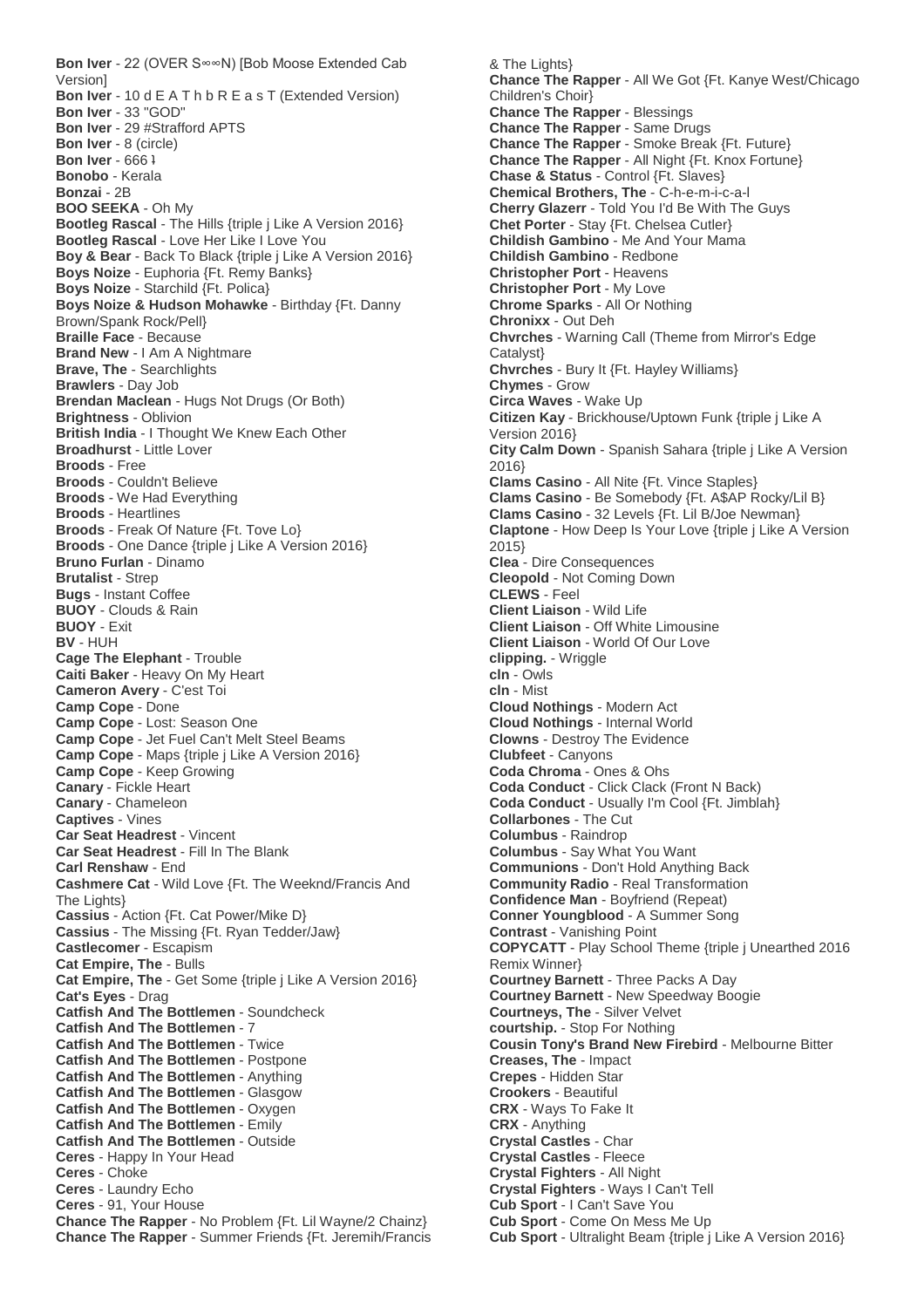**Bon Iver** - 22 (OVER S∞∞N) [Bob Moose Extended Cab Version] **Bon Iver** - 10 d E A T h b R E a s T (Extended Version) **Bon Iver** - 33 "GOD" **Bon Iver** - 29 #Strafford APTS **Bon Iver** - 8 (circle) **Bon Iver** - 666 ʇ **Bonobo** - Kerala **Bonzai** - 2B **BOO SEEKA** - Oh My **Bootleg Rascal** - The Hills {triple j Like A Version 2016} **Bootleg Rascal** - Love Her Like I Love You **Boy & Bear** - Back To Black {triple j Like A Version 2016} **Boys Noize** - Euphoria {Ft. Remy Banks} **Boys Noize** - Starchild {Ft. Polica} **Boys Noize & Hudson Mohawke** - Birthday {Ft. Danny Brown/Spank Rock/Pell} **Braille Face** - Because **Brand New** - I Am A Nightmare **Brave, The** - Searchlights **Brawlers** - Day Job **Brendan Maclean** - Hugs Not Drugs (Or Both) **Brightness** - Oblivion **British India** - I Thought We Knew Each Other **Broadhurst** - Little Lover **Broods** - Free **Broods** - Couldn't Believe **Broods** - We Had Everything **Broods** - Heartlines **Broods** - Freak Of Nature {Ft. Tove Lo} **Broods** - One Dance {triple j Like A Version 2016} **Bruno Furlan** - Dinamo **Brutalist** - Strep **Bugs** - Instant Coffee **BUOY** - Clouds & Rain **BUOY** - Exit **BV** - HUH **Cage The Elephant** - Trouble **Caiti Baker** - Heavy On My Heart **Cameron Avery** - C'est Toi **Camp Cope** - Done **Camp Cope** - Lost: Season One **Camp Cope** - Jet Fuel Can't Melt Steel Beams **Camp Cope** - Maps {triple j Like A Version 2016} **Camp Cope** - Keep Growing **Canary** - Fickle Heart **Canary** - Chameleon **Captives** - Vines **Car Seat Headrest** - Vincent **Car Seat Headrest** - Fill In The Blank **Carl Renshaw** - End **Cashmere Cat** - Wild Love {Ft. The Weeknd/Francis And The Lights} **Cassius** - Action {Ft. Cat Power/Mike D} **Cassius** - The Missing {Ft. Ryan Tedder/Jaw} **Castlecomer** - Escapism **Cat Empire, The** - Bulls **Cat Empire, The** - Get Some {triple j Like A Version 2016} **Cat's Eyes** - Drag **Catfish And The Bottlemen** - Soundcheck **Catfish And The Bottlemen** - 7 **Catfish And The Bottlemen** - Twice **Catfish And The Bottlemen** - Postpone **Catfish And The Bottlemen** - Anything **Catfish And The Bottlemen** - Glasgow **Catfish And The Bottlemen** - Oxygen **Catfish And The Bottlemen** - Emily **Catfish And The Bottlemen** - Outside **Ceres** - Happy In Your Head **Ceres** - Choke **Ceres** - Laundry Echo **Ceres** - 91, Your House **Chance The Rapper** - No Problem {Ft. Lil Wayne/2 Chainz} **Chance The Rapper** - Summer Friends {Ft. Jeremih/Francis

& The Lights} **Chance The Rapper** - All We Got {Ft. Kanye West/Chicago Children's Choir} **Chance The Rapper** - Blessings **Chance The Rapper** - Same Drugs **Chance The Rapper** - Smoke Break {Ft. Future} **Chance The Rapper** - All Night {Ft. Knox Fortune} **Chase & Status** - Control {Ft. Slaves} **Chemical Brothers, The** - C-h-e-m-i-c-a-l **Cherry Glazerr** - Told You I'd Be With The Guys **Chet Porter** - Stay {Ft. Chelsea Cutler} **Childish Gambino** - Me And Your Mama **Childish Gambino** - Redbone **Christopher Port** - Heavens **Christopher Port** - My Love **Chrome Sparks** - All Or Nothing **Chronixx** - Out Deh **Chvrches** - Warning Call (Theme from Mirror's Edge Catalyst} **Chvrches** - Bury It {Ft. Hayley Williams} **Chymes** - Grow **Circa Waves** - Wake Up **Citizen Kay** - Brickhouse/Uptown Funk {triple j Like A Version 2016} **City Calm Down** - Spanish Sahara {triple j Like A Version 2016} **Clams Casino** - All Nite {Ft. Vince Staples} **Clams Casino** - Be Somebody {Ft. A\$AP Rocky/Lil B} **Clams Casino** - 32 Levels {Ft. Lil B/Joe Newman} **Claptone** - How Deep Is Your Love {triple j Like A Version 2015} **Clea** - Dire Consequences **Cleopold** - Not Coming Down **CLEWS** - Feel **Client Liaison** - Wild Life **Client Liaison** - Off White Limousine **Client Liaison** - World Of Our Love **clipping.** - Wriggle **cln** - Owls **cln** - Mist **Cloud Nothings** - Modern Act **Cloud Nothings** - Internal World **Clowns** - Destroy The Evidence **Clubfeet** - Canyons **Coda Chroma** - Ones & Ohs **Coda Conduct** - Click Clack (Front N Back) **Coda Conduct** - Usually I'm Cool {Ft. Jimblah} **Collarbones** - The Cut **Columbus** - Raindrop **Columbus** - Say What You Want **Communions** - Don't Hold Anything Back **Community Radio** - Real Transformation **Confidence Man** - Boyfriend (Repeat) **Conner Youngblood** - A Summer Song **Contrast** - Vanishing Point **COPYCATT** - Play School Theme {triple j Unearthed 2016 Remix Winner} **Courtney Barnett** - Three Packs A Day **Courtney Barnett** - New Speedway Boogie **Courtneys, The** - Silver Velvet **courtship.** - Stop For Nothing **Cousin Tony's Brand New Firebird** - Melbourne Bitter **Creases, The** - Impact **Crepes** - Hidden Star **Crookers** - Beautiful **CRX** - Ways To Fake It **CRX** - Anything **Crystal Castles** - Char **Crystal Castles** - Fleece **Crystal Fighters** - All Night **Crystal Fighters** - Ways I Can't Tell **Cub Sport** - I Can't Save You **Cub Sport** - Come On Mess Me Up **Cub Sport** - Ultralight Beam {triple j Like A Version 2016}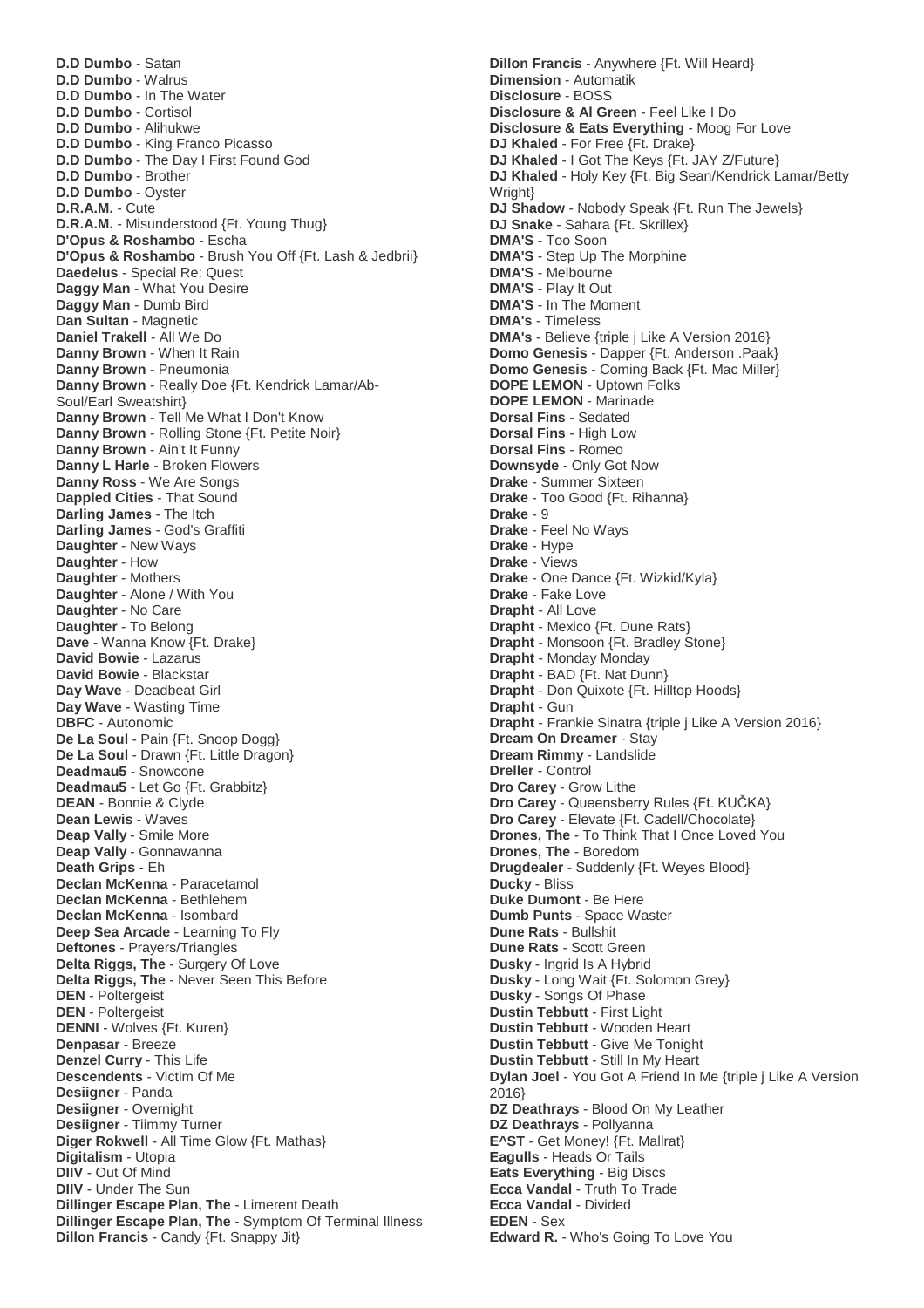**D.D Dumbo** - Satan **D.D Dumbo** - Walrus **D.D Dumbo** - In The Water **D.D Dumbo** - Cortisol **D.D Dumbo** - Alihukwe **D.D Dumbo** - King Franco Picasso **D.D Dumbo** - The Day I First Found God **D.D Dumbo** - Brother **D.D Dumbo** - Oyster **D.R.A.M.** - Cute **D.R.A.M.** - Misunderstood {Ft. Young Thug} **D'Opus & Roshambo** - Escha **D'Opus & Roshambo** - Brush You Off {Ft. Lash & Jedbrii} **Daedelus** - Special Re: Quest **Daggy Man** - What You Desire **Daggy Man** - Dumb Bird **Dan Sultan** - Magnetic **Daniel Trakell** - All We Do **Danny Brown** - When It Rain **Danny Brown** - Pneumonia **Danny Brown** - Really Doe {Ft. Kendrick Lamar/Ab-Soul/Earl Sweatshirt} **Danny Brown** - Tell Me What I Don't Know **Danny Brown** - Rolling Stone {Ft. Petite Noir} **Danny Brown** - Ain't It Funny **Danny L Harle** - Broken Flowers **Danny Ross** - We Are Songs **Dappled Cities** - That Sound **Darling James** - The Itch **Darling James** - God's Graffiti **Daughter** - New Ways **Daughter** - How **Daughter** - Mothers **Daughter** - Alone / With You **Daughter** - No Care **Daughter** - To Belong **Dave** - Wanna Know {Ft. Drake} **David Bowie** - Lazarus **David Bowie** - Blackstar **Day Wave** - Deadbeat Girl **Day Wave** - Wasting Time **DBFC** - Autonomic De La Soul - Pain {Ft. Snoop Dogg} **De La Soul** - Drawn {Ft. Little Dragon} **Deadmau5** - Snowcone **Deadmau5** - Let Go {Ft. Grabbitz} **DEAN** - Bonnie & Clyde **Dean Lewis** - Waves **Deap Vally** - Smile More **Deap Vally** - Gonnawanna **Death Grips** - Eh **Declan McKenna** - Paracetamol **Declan McKenna** - Bethlehem **Declan McKenna** - Isombard **Deep Sea Arcade** - Learning To Fly **Deftones** - Prayers/Triangles **Delta Riggs, The** - Surgery Of Love **Delta Riggs, The** - Never Seen This Before **DEN** - Poltergeist **DEN** - Poltergeist **DENNI** - Wolves {Ft. Kuren} **Denpasar** - Breeze **Denzel Curry** - This Life **Descendents** - Victim Of Me **Desiigner** - Panda **Desiigner** - Overnight **Desiigner** - Tiimmy Turner **Diger Rokwell** - All Time Glow {Ft. Mathas} **Digitalism** - Utopia **DIIV** - Out Of Mind **DIIV** - Under The Sun **Dillinger Escape Plan, The** - Limerent Death **Dillinger Escape Plan, The** - Symptom Of Terminal Illness **Dillon Francis** - Candy {Ft. Snappy Jit}

**Dillon Francis** - Anywhere {Ft. Will Heard} **Dimension** - Automatik **Disclosure** - BOSS **Disclosure & Al Green** - Feel Like I Do **Disclosure & Eats Everything** - Moog For Love **DJ Khaled** - For Free {Ft. Drake} **DJ Khaled** - I Got The Keys {Ft. JAY Z/Future} **DJ Khaled** - Holy Key {Ft. Big Sean/Kendrick Lamar/Betty Wright} **DJ Shadow** - Nobody Speak {Ft. Run The Jewels} **DJ Snake** - Sahara {Ft. Skrillex} **DMA'S** - Too Soon **DMA'S** - Step Up The Morphine **DMA'S** - Melbourne **DMA'S** - Play It Out **DMA'S** - In The Moment **DMA's** - Timeless **DMA's** - Believe {triple j Like A Version 2016} **Domo Genesis** - Dapper {Ft. Anderson .Paak} **Domo Genesis** - Coming Back {Ft. Mac Miller} **DOPE LEMON** - Uptown Folks **DOPE LEMON** - Marinade **Dorsal Fins** - Sedated **Dorsal Fins** - High Low **Dorsal Fins** - Romeo **Downsyde** - Only Got Now **Drake** - Summer Sixteen **Drake** - Too Good {Ft. Rihanna} **Drake** - 9 **Drake** - Feel No Ways **Drake** - Hype **Drake** - Views **Drake** - One Dance {Ft. Wizkid/Kyla} **Drake** - Fake Love **Drapht** - All Love **Drapht** - Mexico {Ft. Dune Rats} **Drapht** - Monsoon {Ft. Bradley Stone} **Drapht** - Monday Monday **Drapht** - BAD {Ft. Nat Dunn} **Drapht** - Don Quixote {Ft. Hilltop Hoods} **Drapht** - Gun **Drapht** - Frankie Sinatra {triple j Like A Version 2016} **Dream On Dreamer** - Stay **Dream Rimmy** - Landslide **Dreller** - Control **Dro Carey** - Grow Lithe **Dro Carey** - Queensberry Rules {Ft. KUČKA} **Dro Carey** - Elevate {Ft. Cadell/Chocolate} **Drones, The** - To Think That I Once Loved You **Drones, The** - Boredom **Drugdealer** - Suddenly {Ft. Weyes Blood} **Ducky** - Bliss **Duke Dumont** - Be Here **Dumb Punts** - Space Waster **Dune Rats** - Bullshit **Dune Rats** - Scott Green **Dusky** - Ingrid Is A Hybrid **Dusky** - Long Wait {Ft. Solomon Grey} **Dusky** - Songs Of Phase **Dustin Tebbutt** - First Light **Dustin Tebbutt** - Wooden Heart **Dustin Tebbutt** - Give Me Tonight **Dustin Tebbutt** - Still In My Heart **Dylan Joel** - You Got A Friend In Me {triple j Like A Version 2016} **DZ Deathrays** - Blood On My Leather **DZ Deathrays** - Pollyanna **E^ST** - Get Money! {Ft. Mallrat} **Eagulls** - Heads Or Tails **Eats Everything** - Big Discs **Ecca Vandal** - Truth To Trade **Ecca Vandal** - Divided **EDEN** - Sex **Edward R.** - Who's Going To Love You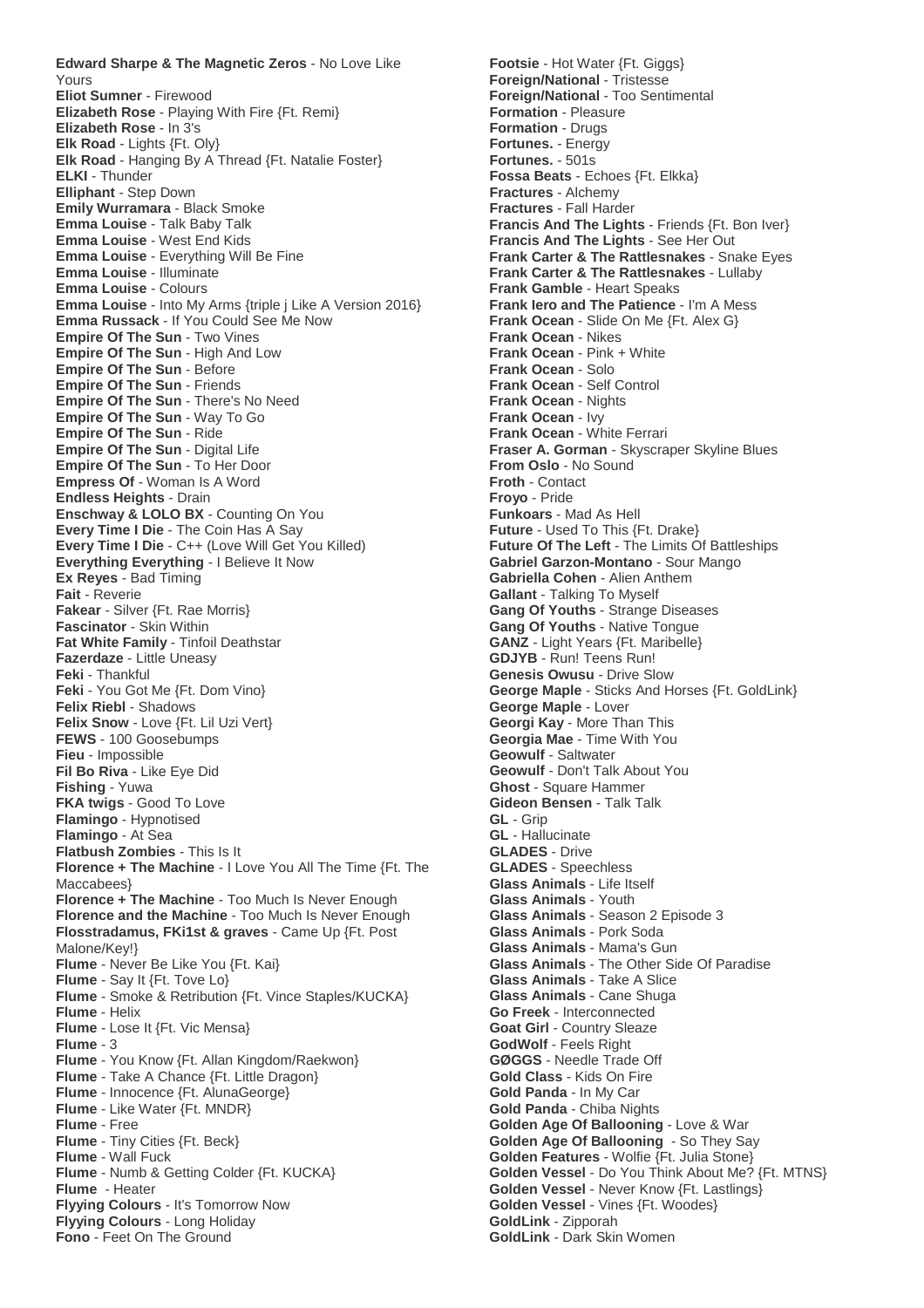**Edward Sharpe & The Magnetic Zeros** - No Love Like Yours **Eliot Sumner** - Firewood **Elizabeth Rose** - Playing With Fire {Ft. Remi} **Elizabeth Rose** - In 3's **Elk Road** - Lights {Ft. Oly} **Elk Road** - Hanging By A Thread {Ft. Natalie Foster} **ELKI** - Thunder **Elliphant** - Step Down **Emily Wurramara** - Black Smoke **Emma Louise** - Talk Baby Talk **Emma Louise** - West End Kids **Emma Louise** - Everything Will Be Fine **Emma Louise** - Illuminate **Emma Louise** - Colours **Emma Louise** - Into My Arms {triple j Like A Version 2016} **Emma Russack** - If You Could See Me Now **Empire Of The Sun - Two Vines Empire Of The Sun** - High And Low **Empire Of The Sun** - Before **Empire Of The Sun** - Friends **Empire Of The Sun** - There's No Need **Empire Of The Sun** - Way To Go **Empire Of The Sun** - Ride **Empire Of The Sun - Digital Life Empire Of The Sun** - To Her Door **Empress Of** - Woman Is A Word **Endless Heights** - Drain **Enschway & LOLO BX** - Counting On You **Every Time I Die** - The Coin Has A Say **Every Time I Die** - C++ (Love Will Get You Killed) **Everything Everything** - I Believe It Now **Ex Reyes** - Bad Timing **Fait** - Reverie **Fakear** - Silver {Ft. Rae Morris} **Fascinator** - Skin Within **Fat White Family** - Tinfoil Deathstar **Fazerdaze** - Little Uneasy **Feki** - Thankful **Feki** - You Got Me {Ft. Dom Vino} **Felix Riebl** - Shadows **Felix Snow** - Love {Ft. Lil Uzi Vert} **FEWS** - 100 Goosebumps **Fieu** - Impossible **Fil Bo Riva** - Like Eye Did **Fishing** - Yuwa **FKA twigs** - Good To Love **Flamingo** - Hypnotised **Flamingo** - At Sea **Flatbush Zombies** - This Is It **Florence + The Machine** - I Love You All The Time {Ft. The Maccabees} **Florence + The Machine** - Too Much Is Never Enough **Florence and the Machine** - Too Much Is Never Enough **Flosstradamus, FKi1st & graves** - Came Up {Ft. Post Malone/Key!} **Flume** - Never Be Like You {Ft. Kai} **Flume** - Say It {Ft. Tove Lo} **Flume** - Smoke & Retribution {Ft. Vince Staples/KUCKA} **Flume** - Helix **Flume** - Lose It {Ft. Vic Mensa} **Flume** - 3 **Flume** - You Know {Ft. Allan Kingdom/Raekwon} **Flume** - Take A Chance {Ft. Little Dragon} **Flume** - Innocence {Ft. AlunaGeorge} **Flume** - Like Water {Ft. MNDR} **Flume** - Free **Flume** - Tiny Cities {Ft. Beck} **Flume** - Wall Fuck **Flume** - Numb & Getting Colder {Ft. KUCKA} **Flume** - Heater **Flyying Colours** - It's Tomorrow Now **Flyying Colours** - Long Holiday **Fono** - Feet On The Ground

**Footsie** - Hot Water {Ft. Giggs} **Foreign/National** - Tristesse **Foreign/National** - Too Sentimental **Formation** - Pleasure **Formation** - Drugs **Fortunes.** - Energy **Fortunes.** - 501s **Fossa Beats** - Echoes {Ft. Elkka} **Fractures** - Alchemy **Fractures** - Fall Harder **Francis And The Lights** - Friends {Ft. Bon Iver} **Francis And The Lights** - See Her Out **Frank Carter & The Rattlesnakes** - Snake Eyes **Frank Carter & The Rattlesnakes** - Lullaby **Frank Gamble** - Heart Speaks **Frank Iero and The Patience** - I'm A Mess **Frank Ocean** - Slide On Me {Ft. Alex G} **Frank Ocean** - Nikes **Frank Ocean** - Pink + White **Frank Ocean** - Solo **Frank Ocean** - Self Control **Frank Ocean** - Nights **Frank Ocean** - Ivy **Frank Ocean** - White Ferrari **Fraser A. Gorman** - Skyscraper Skyline Blues **From Oslo** - No Sound **Froth** - Contact **Froyo** - Pride **Funkoars** - Mad As Hell **Future** - Used To This {Ft. Drake} **Future Of The Left** - The Limits Of Battleships **Gabriel Garzon-Montano** - Sour Mango **Gabriella Cohen** - Alien Anthem **Gallant** - Talking To Myself **Gang Of Youths** - Strange Diseases **Gang Of Youths** - Native Tongue **GANZ** - Light Years {Ft. Maribelle} **GDJYB** - Run! Teens Run! **Genesis Owusu** - Drive Slow **George Maple** - Sticks And Horses {Ft. GoldLink} **George Maple** - Lover **Georgi Kay** - More Than This **Georgia Mae** - Time With You **Geowulf** - Saltwater **Geowulf** - Don't Talk About You **Ghost** - Square Hammer **Gideon Bensen** - Talk Talk **GL** - Grip **GL** - Hallucinate **GLADES** - Drive **GLADES** - Speechless **Glass Animals** - Life Itself **Glass Animals** - Youth **Glass Animals** - Season 2 Episode 3 **Glass Animals** - Pork Soda **Glass Animals** - Mama's Gun **Glass Animals** - The Other Side Of Paradise **Glass Animals** - Take A Slice **Glass Animals** - Cane Shuga **Go Freek** - Interconnected Goat Girl - Country Sleaze **GodWolf** - Feels Right **GØGGS** - Needle Trade Off **Gold Class** - Kids On Fire **Gold Panda** - In My Car **Gold Panda** - Chiba Nights **Golden Age Of Ballooning** - Love & War **Golden Age Of Ballooning** - So They Say **Golden Features** - Wolfie {Ft. Julia Stone} **Golden Vessel** - Do You Think About Me? {Ft. MTNS} **Golden Vessel** - Never Know {Ft. Lastlings} **Golden Vessel** - Vines {Ft. Woodes} **GoldLink** - Zipporah **GoldLink** - Dark Skin Women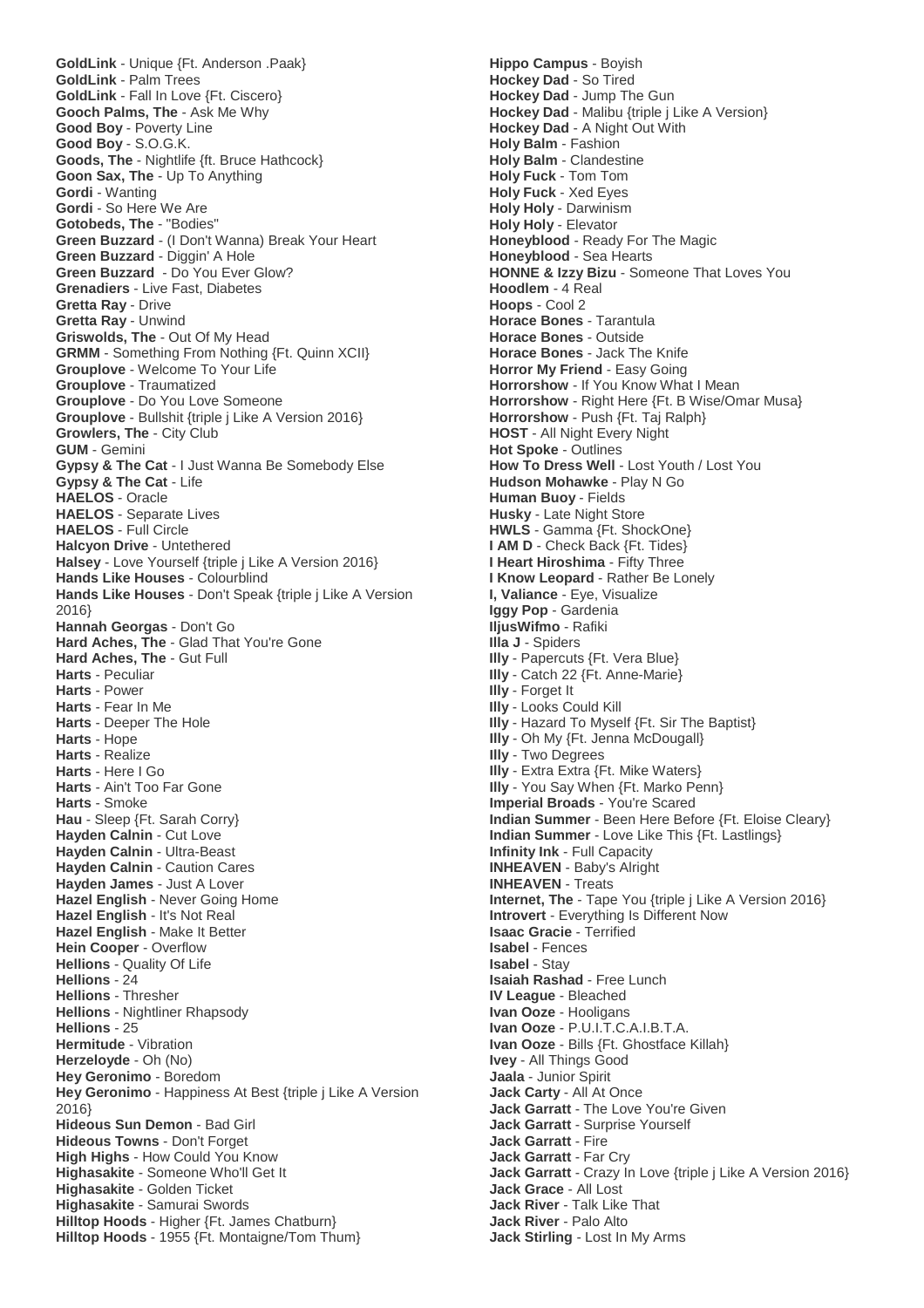**GoldLink** - Unique {Ft. Anderson .Paak} **GoldLink** - Palm Trees **GoldLink** - Fall In Love {Ft. Ciscero} **Gooch Palms, The** - Ask Me Why **Good Boy** - Poverty Line **Good Boy** - S.O.G.K. **Goods, The** - Nightlife {ft. Bruce Hathcock} **Goon Sax, The** - Up To Anything **Gordi** - Wanting **Gordi** - So Here We Are **Gotobeds, The** - "Bodies" **Green Buzzard** - (I Don't Wanna) Break Your Heart **Green Buzzard** - Diggin' A Hole **Green Buzzard** - Do You Ever Glow? **Grenadiers** - Live Fast, Diabetes **Gretta Ray** - Drive **Gretta Ray** - Unwind **Griswolds, The** - Out Of My Head **GRMM** - Something From Nothing {Ft. Quinn XCII} **Grouplove** - Welcome To Your Life **Grouplove** - Traumatized **Grouplove** - Do You Love Someone **Grouplove** - Bullshit {triple j Like A Version 2016} **Growlers, The** - City Club **GUM** - Gemini **Gypsy & The Cat** - I Just Wanna Be Somebody Else **Gypsy & The Cat** - Life **HAELOS** - Oracle **HAELOS** - Separate Lives **HAELOS** - Full Circle **Halcyon Drive** - Untethered **Halsey** - Love Yourself {triple j Like A Version 2016} **Hands Like Houses** - Colourblind **Hands Like Houses** - Don't Speak {triple j Like A Version 2016} **Hannah Georgas** - Don't Go **Hard Aches, The** - Glad That You're Gone **Hard Aches, The** - Gut Full **Harts** - Peculiar **Harts** - Power **Harts** - Fear In Me **Harts** - Deeper The Hole **Harts** - Hope **Harts** - Realize **Harts** - Here I Go **Harts** - Ain't Too Far Gone **Harts** - Smoke **Hau** - Sleep {Ft. Sarah Corry} **Hayden Calnin** - Cut Love **Hayden Calnin** - Ultra-Beast **Hayden Calnin** - Caution Cares **Hayden James** - Just A Lover **Hazel English** - Never Going Home **Hazel English** - It's Not Real **Hazel English** - Make It Better **Hein Cooper** - Overflow **Hellions** - Quality Of Life **Hellions** - 24 **Hellions** - Thresher **Hellions** - Nightliner Rhapsody **Hellions** - 25 **Hermitude** - Vibration **Herzeloyde** - Oh (No) **Hey Geronimo** - Boredom **Hey Geronimo** - Happiness At Best {triple j Like A Version 2016} **Hideous Sun Demon** - Bad Girl **Hideous Towns** - Don't Forget **High Highs** - How Could You Know **Highasakite** - Someone Who'll Get It **Highasakite** - Golden Ticket **Highasakite** - Samurai Swords **Hilltop Hoods** - Higher {Ft. James Chatburn} **Hilltop Hoods** - 1955 {Ft. Montaigne/Tom Thum}

**Hippo Campus** - Boyish **Hockey Dad** - So Tired **Hockey Dad** - Jump The Gun **Hockey Dad** - Malibu {triple j Like A Version} **Hockey Dad** - A Night Out With **Holy Balm** - Fashion **Holy Balm** - Clandestine **Holy Fuck** - Tom Tom **Holy Fuck** - Xed Eyes **Holy Holy** - Darwinism **Holy Holy** - Elevator **Honeyblood** - Ready For The Magic **Honeyblood** - Sea Hearts **HONNE & Izzy Bizu** - Someone That Loves You **Hoodlem** - 4 Real **Hoops** - Cool 2 **Horace Bones** - Tarantula **Horace Bones** - Outside **Horace Bones** - Jack The Knife **Horror My Friend** - Easy Going **Horrorshow** - If You Know What I Mean **Horrorshow** - Right Here {Ft. B Wise/Omar Musa} **Horrorshow** - Push {Ft. Taj Ralph} **HOST** - All Night Every Night **Hot Spoke** - Outlines **How To Dress Well** - Lost Youth / Lost You **Hudson Mohawke** - Play N Go **Human Buoy** - Fields **Husky** - Late Night Store **HWLS** - Gamma {Ft. ShockOne} **I AM D** - Check Back {Ft. Tides} **I Heart Hiroshima** - Fifty Three **I Know Leopard** - Rather Be Lonely **I, Valiance** - Eye, Visualize **Iggy Pop** - Gardenia **IljusWifmo** - Rafiki **Illa J** - Spiders **Illy** - Papercuts {Ft. Vera Blue} **Illy** - Catch 22 {Ft. Anne-Marie} **Illy** - Forget It **Illy** - Looks Could Kill **Illy** - Hazard To Myself {Ft. Sir The Baptist} **Illy** - Oh My {Ft. Jenna McDougall} **Illy** - Two Degrees **Illy** - Extra Extra {Ft. Mike Waters} **Illy** - You Say When {Ft. Marko Penn} **Imperial Broads** - You're Scared **Indian Summer** - Been Here Before {Ft. Eloise Cleary} **Indian Summer** - Love Like This {Ft. Lastlings} **Infinity Ink** - Full Capacity **INHEAVEN** - Baby's Alright **INHEAVEN** - Treats **Internet, The** - Tape You {triple j Like A Version 2016} **Introvert** - Everything Is Different Now **Isaac Gracie** - Terrified **Isabel** - Fences **Isabel** - Stay **Isaiah Rashad** - Free Lunch **IV League** - Bleached **Ivan Ooze** - Hooligans **Ivan Ooze** - P.U.I.T.C.A.I.B.T.A. **Ivan Ooze** - Bills {Ft. Ghostface Killah} **Ivey** - All Things Good **Jaala** - Junior Spirit **Jack Carty** - All At Once **Jack Garratt** - The Love You're Given **Jack Garratt** - Surprise Yourself **Jack Garratt** - Fire **Jack Garratt** - Far Cry **Jack Garratt** - Crazy In Love {triple j Like A Version 2016} **Jack Grace** - All Lost **Jack River** - Talk Like That **Jack River** - Palo Alto **Jack Stirling** - Lost In My Arms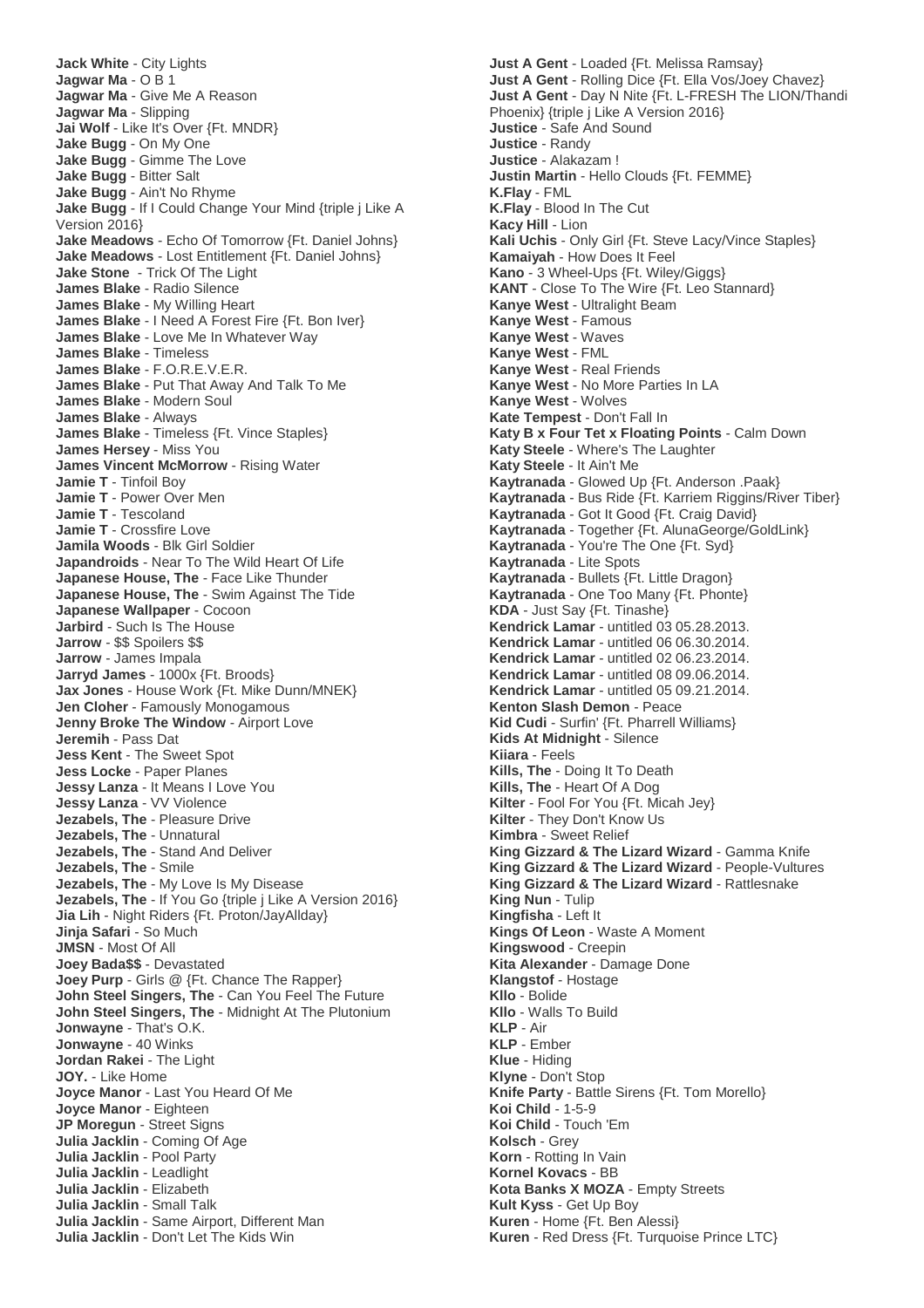**Jack White** - City Lights **Jagwar Ma** - O B 1 **Jagwar Ma** - Give Me A Reason **Jagwar Ma** - Slipping **Jai Wolf** - Like It's Over {Ft. MNDR} **Jake Bugg** - On My One **Jake Bugg** - Gimme The Love **Jake Bugg** - Bitter Salt **Jake Bugg** - Ain't No Rhyme **Jake Bugg** - If I Could Change Your Mind {triple j Like A Version 2016} **Jake Meadows** - Echo Of Tomorrow {Ft. Daniel Johns} **Jake Meadows** - Lost Entitlement {Ft. Daniel Johns} **Jake Stone** - Trick Of The Light **James Blake** - Radio Silence **James Blake** - My Willing Heart **James Blake** - I Need A Forest Fire {Ft. Bon Iver} **James Blake** - Love Me In Whatever Way **James Blake** - Timeless **James Blake** - F.O.R.E.V.E.R. **James Blake** - Put That Away And Talk To Me **James Blake** - Modern Soul **James Blake** - Always **James Blake** - Timeless {Ft. Vince Staples} **James Hersey** - Miss You **James Vincent McMorrow** - Rising Water **Jamie T** - Tinfoil Boy **Jamie T** - Power Over Men **Jamie T** - Tescoland **Jamie T** - Crossfire Love **Jamila Woods** - Blk Girl Soldier **Japandroids** - Near To The Wild Heart Of Life **Japanese House, The** - Face Like Thunder **Japanese House, The** - Swim Against The Tide **Japanese Wallpaper** - Cocoon **Jarbird** - Such Is The House **Jarrow** - \$\$ Spoilers \$\$ **Jarrow** - James Impala **Jarryd James** - 1000x {Ft. Broods} **Jax Jones** - House Work {Ft. Mike Dunn/MNEK} **Jen Cloher** - Famously Monogamous **Jenny Broke The Window** - Airport Love **Jeremih** - Pass Dat **Jess Kent** - The Sweet Spot **Jess Locke** - Paper Planes **Jessy Lanza** - It Means I Love You **Jessy Lanza** - VV Violence **Jezabels, The** - Pleasure Drive **Jezabels, The** - Unnatural **Jezabels, The** - Stand And Deliver **Jezabels, The** - Smile **Jezabels, The** - My Love Is My Disease **Jezabels, The** - If You Go {triple j Like A Version 2016} **Jia Lih** - Night Riders {Ft. Proton/JayAllday} **Jinja Safari** - So Much **JMSN** - Most Of All **Joey Bada\$\$** - Devastated **Joey Purp** - Girls @ {Ft. Chance The Rapper} **John Steel Singers, The** - Can You Feel The Future **John Steel Singers, The** - Midnight At The Plutonium **Jonwayne** - That's O.K. **Jonwayne** - 40 Winks **Jordan Rakei** - The Light **JOY.** - Like Home **Joyce Manor** - Last You Heard Of Me **Joyce Manor** - Eighteen **JP Moregun** - Street Signs **Julia Jacklin** - Coming Of Age **Julia Jacklin** - Pool Party **Julia Jacklin** - Leadlight **Julia Jacklin** - Elizabeth **Julia Jacklin** - Small Talk **Julia Jacklin** - Same Airport, Different Man **Julia Jacklin** - Don't Let The Kids Win

**Just A Gent** - Loaded {Ft. Melissa Ramsay} **Just A Gent** - Rolling Dice {Ft. Ella Vos/Joey Chavez} **Just A Gent** - Day N Nite {Ft. L-FRESH The LION/Thandi Phoenix} {triple j Like A Version 2016} **Justice** - Safe And Sound **Justice** - Randy **Justice** - Alakazam ! **Justin Martin** - Hello Clouds {Ft. FEMME} **K.Flay** - FML **K.Flay** - Blood In The Cut **Kacy Hill** - Lion **Kali Uchis** - Only Girl {Ft. Steve Lacy/Vince Staples} **Kamaiyah** - How Does It Feel **Kano** - 3 Wheel-Ups {Ft. Wiley/Giggs} **KANT** - Close To The Wire {Ft. Leo Stannard} **Kanye West** - Ultralight Beam **Kanye West** - Famous **Kanye West** - Waves **Kanye West** - FML **Kanye West** - Real Friends **Kanye West** - No More Parties In LA **Kanye West** - Wolves **Kate Tempest** - Don't Fall In **Katy B x Four Tet x Floating Points** - Calm Down **Katy Steele** - Where's The Laughter **Katy Steele** - It Ain't Me **Kaytranada** - Glowed Up {Ft. Anderson .Paak} **Kaytranada** - Bus Ride {Ft. Karriem Riggins/River Tiber} **Kaytranada** - Got It Good {Ft. Craig David} **Kaytranada** - Together {Ft. AlunaGeorge/GoldLink} **Kaytranada** - You're The One {Ft. Syd} **Kaytranada** - Lite Spots **Kaytranada** - Bullets {Ft. Little Dragon} **Kaytranada** - One Too Many {Ft. Phonte} **KDA** - Just Say {Ft. Tinashe} **Kendrick Lamar** - untitled 03 05.28.2013. **Kendrick Lamar** - untitled 06 06.30.2014. **Kendrick Lamar** - untitled 02 06.23.2014. **Kendrick Lamar** - untitled 08 09.06.2014. **Kendrick Lamar** - untitled 05 09.21.2014. **Kenton Slash Demon** - Peace **Kid Cudi** - Surfin' {Ft. Pharrell Williams} **Kids At Midnight** - Silence **Kiiara** - Feels **Kills, The** - Doing It To Death **Kills, The** - Heart Of A Dog **Kilter** - Fool For You {Ft. Micah Jey} **Kilter** - They Don't Know Us **Kimbra** - Sweet Relief **King Gizzard & The Lizard Wizard** - Gamma Knife **King Gizzard & The Lizard Wizard** - People-Vultures **King Gizzard & The Lizard Wizard** - Rattlesnake **King Nun** - Tulip **Kingfisha** - Left It **Kings Of Leon** - Waste A Moment **Kingswood** - Creepin **Kita Alexander** - Damage Done **Klangstof** - Hostage **Kllo** - Bolide **Kllo** - Walls To Build **KLP** - Air **KLP** - Ember **Klue** - Hiding **Klyne** - Don't Stop **Knife Party** - Battle Sirens {Ft. Tom Morello} **Koi Child** - 1-5-9 **Koi Child** - Touch 'Em **Kolsch** - Grey **Korn** - Rotting In Vain **Kornel Kovacs** - BB **Kota Banks X MOZA** - Empty Streets **Kult Kyss** - Get Up Boy **Kuren** - Home {Ft. Ben Alessi} **Kuren** - Red Dress {Ft. Turquoise Prince LTC}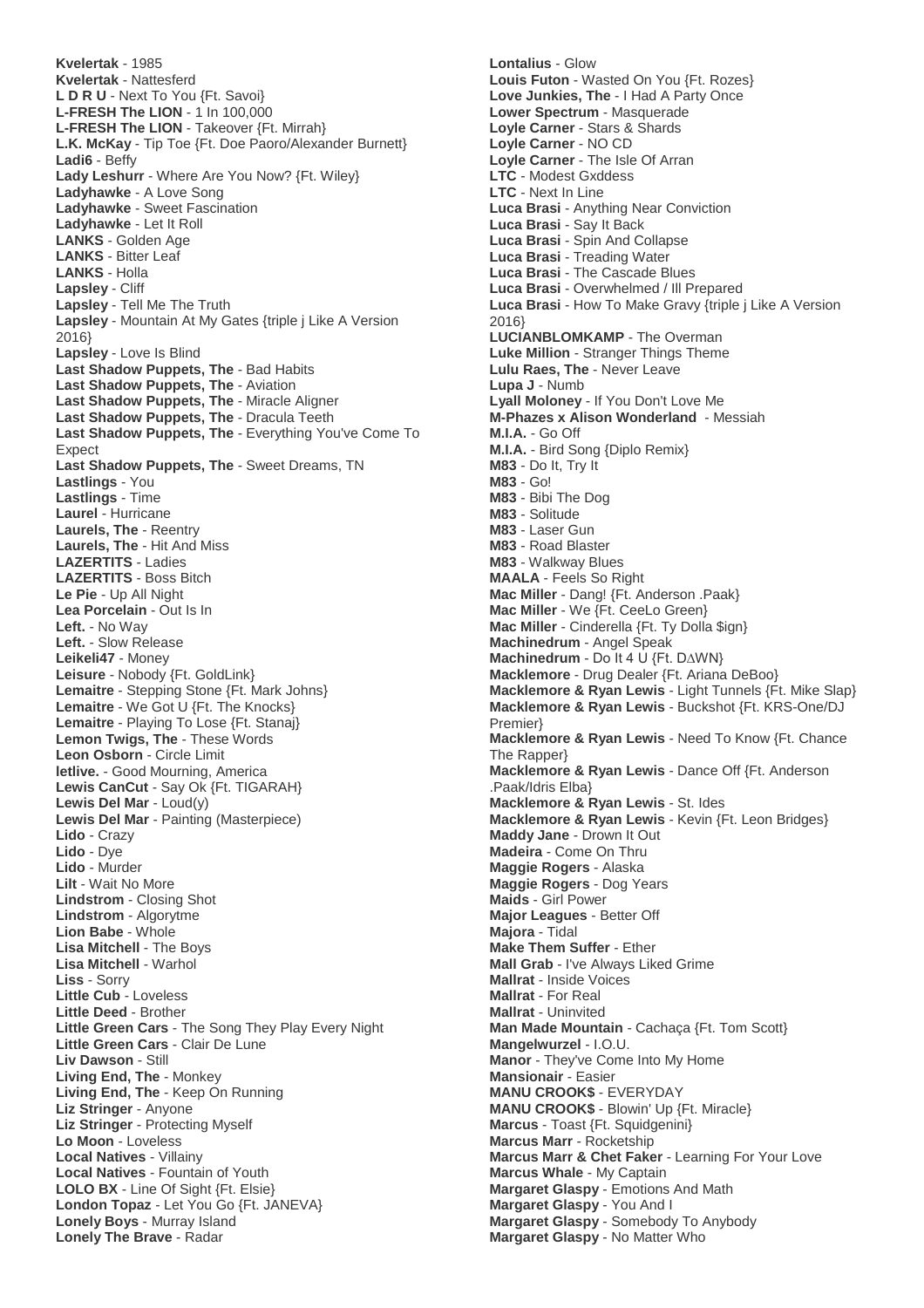**Kvelertak** - 1985 **Kvelertak** - Nattesferd **L D R U** - Next To You {Ft. Savoi} **L-FRESH The LION** - 1 In 100,000 **L-FRESH The LION** - Takeover {Ft. Mirrah} **L.K. McKay** - Tip Toe {Ft. Doe Paoro/Alexander Burnett} **Ladi6** - Beffy **Lady Leshurr** - Where Are You Now? {Ft. Wiley} **Ladyhawke** - A Love Song **Ladyhawke** - Sweet Fascination **Ladyhawke** - Let It Roll **LANKS** - Golden Age **LANKS** - Bitter Leaf **LANKS** - Holla **Lapsley** - Cliff **Lapsley** - Tell Me The Truth **Lapsley** - Mountain At My Gates {triple j Like A Version 2016} **Lapsley** - Love Is Blind **Last Shadow Puppets, The** - Bad Habits **Last Shadow Puppets, The** - Aviation **Last Shadow Puppets, The** - Miracle Aligner **Last Shadow Puppets, The** - Dracula Teeth **Last Shadow Puppets, The** - Everything You've Come To Expect **Last Shadow Puppets, The** - Sweet Dreams, TN **Lastlings** - You **Lastlings** - Time **Laurel** - Hurricane **Laurels, The** - Reentry **Laurels, The** - Hit And Miss **LAZERTITS** - Ladies **LAZERTITS** - Boss Bitch **Le Pie** - Up All Night **Lea Porcelain** - Out Is In **Left.** - No Way **Left.** - Slow Release **Leikeli47** - Money **Leisure** - Nobody {Ft. GoldLink} **Lemaitre** - Stepping Stone {Ft. Mark Johns} **Lemaitre** - We Got U {Ft. The Knocks} **Lemaitre** - Playing To Lose {Ft. Stanaj} **Lemon Twigs, The** - These Words **Leon Osborn** - Circle Limit **letlive.** - Good Mourning, America **Lewis CanCut** - Say Ok {Ft. TIGARAH} **Lewis Del Mar** - Loud(y) **Lewis Del Mar** - Painting (Masterpiece) **Lido** - Crazy **Lido** - Dye **Lido** - Murder **Lilt** - Wait No More **Lindstrom** - Closing Shot **Lindstrom** - Algorytme **Lion Babe** - Whole **Lisa Mitchell** - The Boys **Lisa Mitchell** - Warhol **Liss** - Sorry **Little Cub** - Loveless **Little Deed** - Brother **Little Green Cars** - The Song They Play Every Night **Little Green Cars** - Clair De Lune **Liv Dawson** - Still **Living End, The** - Monkey **Living End, The** - Keep On Running **Liz Stringer** - Anyone **Liz Stringer** - Protecting Myself **Lo Moon** - Loveless **Local Natives** - Villainy **Local Natives** - Fountain of Youth **LOLO BX** - Line Of Sight {Ft. Elsie} **London Topaz** - Let You Go {Ft. JANEVA} **Lonely Boys** - Murray Island **Lonely The Brave** - Radar

**Lontalius** - Glow **Louis Futon** - Wasted On You {Ft. Rozes} **Love Junkies, The** - I Had A Party Once **Lower Spectrum** - Masquerade **Loyle Carner** - Stars & Shards **Loyle Carner** - NO CD **Loyle Carner** - The Isle Of Arran **LTC** - Modest Gxddess **LTC** - Next In Line **Luca Brasi** - Anything Near Conviction **Luca Brasi** - Say It Back **Luca Brasi** - Spin And Collapse **Luca Brasi** - Treading Water **Luca Brasi** - The Cascade Blues **Luca Brasi** - Overwhelmed / Ill Prepared **Luca Brasi** - How To Make Gravy {triple j Like A Version 2016} **LUCIANBLOMKAMP** - The Overman **Luke Million** - Stranger Things Theme **Lulu Raes, The** - Never Leave **Lupa J** - Numb **Lyall Moloney** - If You Don't Love Me **M-Phazes x Alison Wonderland** - Messiah **M.I.A.** - Go Off **M.I.A.** - Bird Song {Diplo Remix} **M83** - Do It, Try It **M83** - Go! **M83** - Bibi The Dog **M83** - Solitude **M83** - Laser Gun **M83** - Road Blaster **M83** - Walkway Blues **MAALA** - Feels So Right **Mac Miller** - Dang! {Ft. Anderson .Paak} **Mac Miller** - We {Ft. CeeLo Green} **Mac Miller** - Cinderella {Ft. Ty Dolla \$ign} **Machinedrum** - Angel Speak **Machinedrum** - Do It 4 U {Ft. D∆WN} **Macklemore** - Drug Dealer {Ft. Ariana DeBoo} **Macklemore & Ryan Lewis** - Light Tunnels {Ft. Mike Slap} **Macklemore & Ryan Lewis** - Buckshot {Ft. KRS-One/DJ Premier} **Macklemore & Ryan Lewis** - Need To Know {Ft. Chance The Rapper} **Macklemore & Ryan Lewis** - Dance Off {Ft. Anderson .Paak/Idris Elba} **Macklemore & Ryan Lewis** - St. Ides **Macklemore & Ryan Lewis** - Kevin {Ft. Leon Bridges} **Maddy Jane** - Drown It Out **Madeira** - Come On Thru **Maggie Rogers** - Alaska **Maggie Rogers** - Dog Years **Maids** - Girl Power **Major Leagues** - Better Off **Majora** - Tidal **Make Them Suffer** - Ether **Mall Grab** - I've Always Liked Grime **Mallrat** - Inside Voices **Mallrat** - For Real **Mallrat** - Uninvited **Man Made Mountain** - Cachaça {Ft. Tom Scott} **Mangelwurzel** - I.O.U. **Manor** - They've Come Into My Home **Mansionair** - Easier **MANU CROOK\$** - EVERYDAY **MANU CROOK\$** - Blowin' Up {Ft. Miracle} **Marcus** - Toast {Ft. Squidgenini} **Marcus Marr** - Rocketship **Marcus Marr & Chet Faker** - Learning For Your Love **Marcus Whale** - My Captain **Margaret Glaspy** - Emotions And Math **Margaret Glaspy** - You And I **Margaret Glaspy** - Somebody To Anybody **Margaret Glaspy** - No Matter Who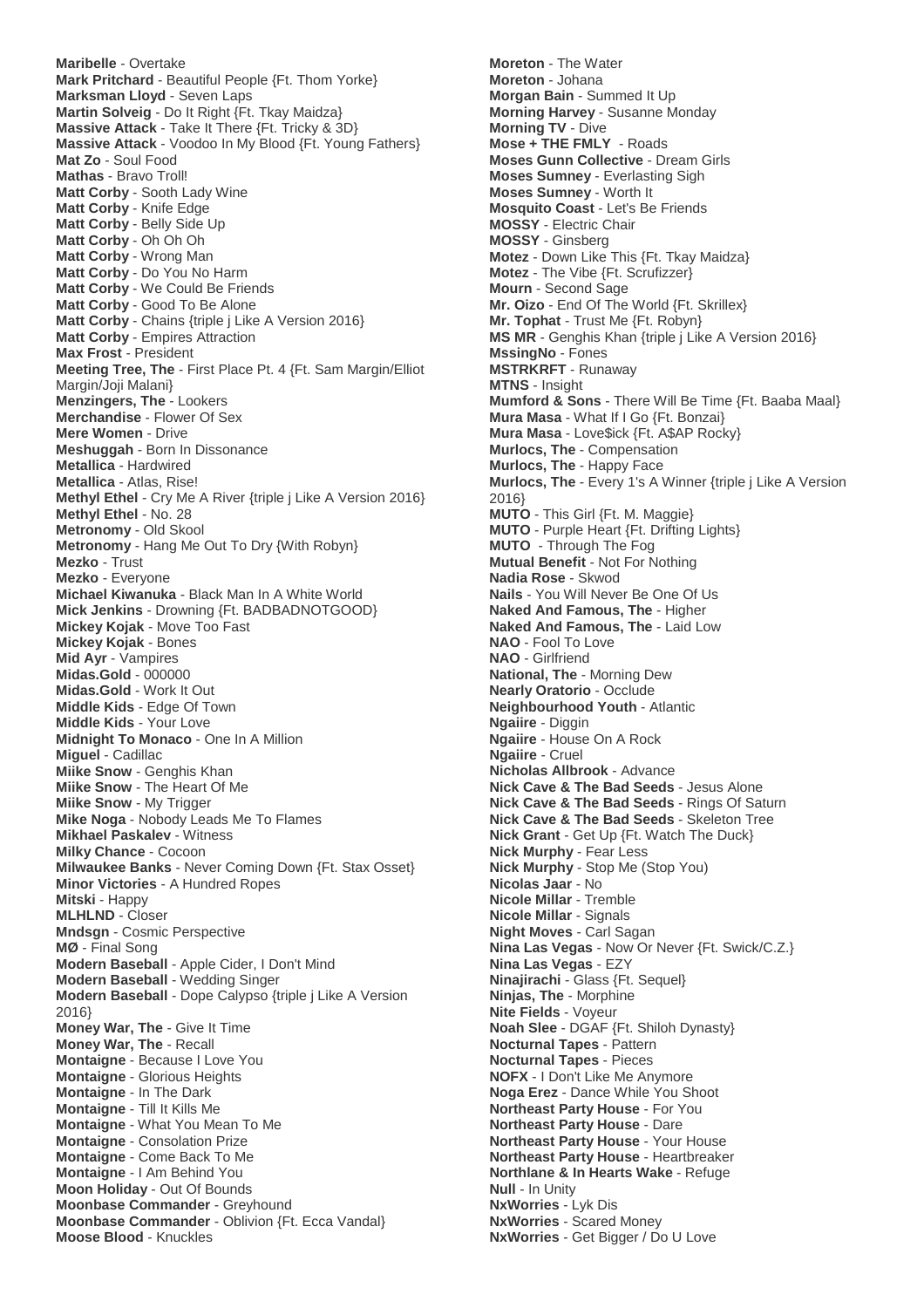**Maribelle** - Overtake **Mark Pritchard** - Beautiful People {Ft. Thom Yorke} **Marksman Lloyd** - Seven Laps **Martin Solveig** - Do It Right {Ft. Tkay Maidza} **Massive Attack** - Take It There {Ft. Tricky & 3D} **Massive Attack** - Voodoo In My Blood {Ft. Young Fathers} **Mat Zo** - Soul Food **Mathas** - Bravo Troll! **Matt Corby** - Sooth Lady Wine **Matt Corby** - Knife Edge **Matt Corby** - Belly Side Up **Matt Corby** - Oh Oh Oh **Matt Corby** - Wrong Man **Matt Corby** - Do You No Harm **Matt Corby** - We Could Be Friends **Matt Corby** - Good To Be Alone **Matt Corby** - Chains {triple j Like A Version 2016} **Matt Corby** - Empires Attraction **Max Frost** - President **Meeting Tree, The** - First Place Pt. 4 {Ft. Sam Margin/Elliot Margin/Joji Malani} **Menzingers, The** - Lookers **Merchandise** - Flower Of Sex **Mere Women** - Drive **Meshuggah** - Born In Dissonance **Metallica** - Hardwired **Metallica** - Atlas, Rise! **Methyl Ethel** - Cry Me A River {triple j Like A Version 2016} **Methyl Ethel** - No. 28 **Metronomy** - Old Skool **Metronomy** - Hang Me Out To Dry {With Robyn} **Mezko** - Trust **Mezko** - Everyone **Michael Kiwanuka** - Black Man In A White World **Mick Jenkins** - Drowning {Ft. BADBADNOTGOOD} **Mickey Kojak** - Move Too Fast **Mickey Kojak** - Bones **Mid Ayr** - Vampires **Midas.Gold** - 000000 **Midas.Gold** - Work It Out **Middle Kids** - Edge Of Town **Middle Kids** - Your Love **Midnight To Monaco** - One In A Million **Miguel** - Cadillac **Miike Snow** - Genghis Khan **Miike Snow** - The Heart Of Me **Miike Snow** - My Trigger **Mike Noga** - Nobody Leads Me To Flames **Mikhael Paskalev** - Witness **Milky Chance** - Cocoon **Milwaukee Banks** - Never Coming Down {Ft. Stax Osset} **Minor Victories** - A Hundred Ropes **Mitski** - Happy **MLHLND** - Closer **Mndsgn** - Cosmic Perspective **MØ** - Final Song **Modern Baseball** - Apple Cider, I Don't Mind **Modern Baseball** - Wedding Singer **Modern Baseball** - Dope Calypso {triple j Like A Version 2016} **Money War, The** - Give It Time **Money War, The** - Recall **Montaigne** - Because I Love You **Montaigne** - Glorious Heights **Montaigne** - In The Dark **Montaigne** - Till It Kills Me **Montaigne** - What You Mean To Me **Montaigne** - Consolation Prize **Montaigne** - Come Back To Me **Montaigne** - I Am Behind You **Moon Holiday** - Out Of Bounds **Moonbase Commander** - Greyhound **Moonbase Commander** - Oblivion {Ft. Ecca Vandal} **Moose Blood** - Knuckles

**Moreton** - The Water **Moreton** - Johana **Morgan Bain** - Summed It Up **Morning Harvey** - Susanne Monday **Morning TV** - Dive **Mose + THE FMLY** - Roads **Moses Gunn Collective** - Dream Girls **Moses Sumney** - Everlasting Sigh **Moses Sumney** - Worth It **Mosquito Coast** - Let's Be Friends **MOSSY** - Electric Chair **MOSSY** - Ginsberg **Motez** - Down Like This {Ft. Tkay Maidza} **Motez** - The Vibe {Ft. Scrufizzer} **Mourn** - Second Sage **Mr. Oizo** - End Of The World {Ft. Skrillex} **Mr. Tophat** - Trust Me {Ft. Robyn} **MS MR** - Genghis Khan {triple j Like A Version 2016} **MssingNo** - Fones **MSTRKRFT** - Runaway **MTNS** - Insight **Mumford & Sons** - There Will Be Time {Ft. Baaba Maal} **Mura Masa** - What If I Go {Ft. Bonzai} **Mura Masa** - Love\$ick {Ft. A\$AP Rocky} **Murlocs, The** - Compensation **Murlocs, The** - Happy Face **Murlocs, The** - Every 1's A Winner {triple j Like A Version 2016} **MUTO** - This Girl {Ft. M. Maggie} **MUTO** - Purple Heart {Ft. Drifting Lights} **MUTO** - Through The Fog **Mutual Benefit** - Not For Nothing **Nadia Rose** - Skwod **Nails** - You Will Never Be One Of Us **Naked And Famous, The** - Higher **Naked And Famous, The** - Laid Low **NAO** - Fool To Love **NAO** - Girlfriend **National, The** - Morning Dew **Nearly Oratorio** - Occlude **Neighbourhood Youth** - Atlantic **Ngaiire** - Diggin **Ngaiire** - House On A Rock **Ngaiire** - Cruel **Nicholas Allbrook** - Advance **Nick Cave & The Bad Seeds** - Jesus Alone **Nick Cave & The Bad Seeds** - Rings Of Saturn **Nick Cave & The Bad Seeds** - Skeleton Tree **Nick Grant** - Get Up {Ft. Watch The Duck} **Nick Murphy** - Fear Less **Nick Murphy** - Stop Me (Stop You) **Nicolas Jaar** - No **Nicole Millar** - Tremble **Nicole Millar** - Signals **Night Moves** - Carl Sagan **Nina Las Vegas** - Now Or Never {Ft. Swick/C.Z.} **Nina Las Vegas** - EZY **Ninajirachi** - Glass {Ft. Sequel} **Ninjas, The** - Morphine **Nite Fields** - Voyeur **Noah Slee** - DGAF {Ft. Shiloh Dynasty} **Nocturnal Tapes** - Pattern **Nocturnal Tapes** - Pieces **NOFX** - I Don't Like Me Anymore **Noga Erez** - Dance While You Shoot **Northeast Party House** - For You **Northeast Party House** - Dare **Northeast Party House** - Your House **Northeast Party House** - Heartbreaker **Northlane & In Hearts Wake** - Refuge **Null** - In Unity **NxWorries** - Lyk Dis **NxWorries** - Scared Money **NxWorries** - Get Bigger / Do U Love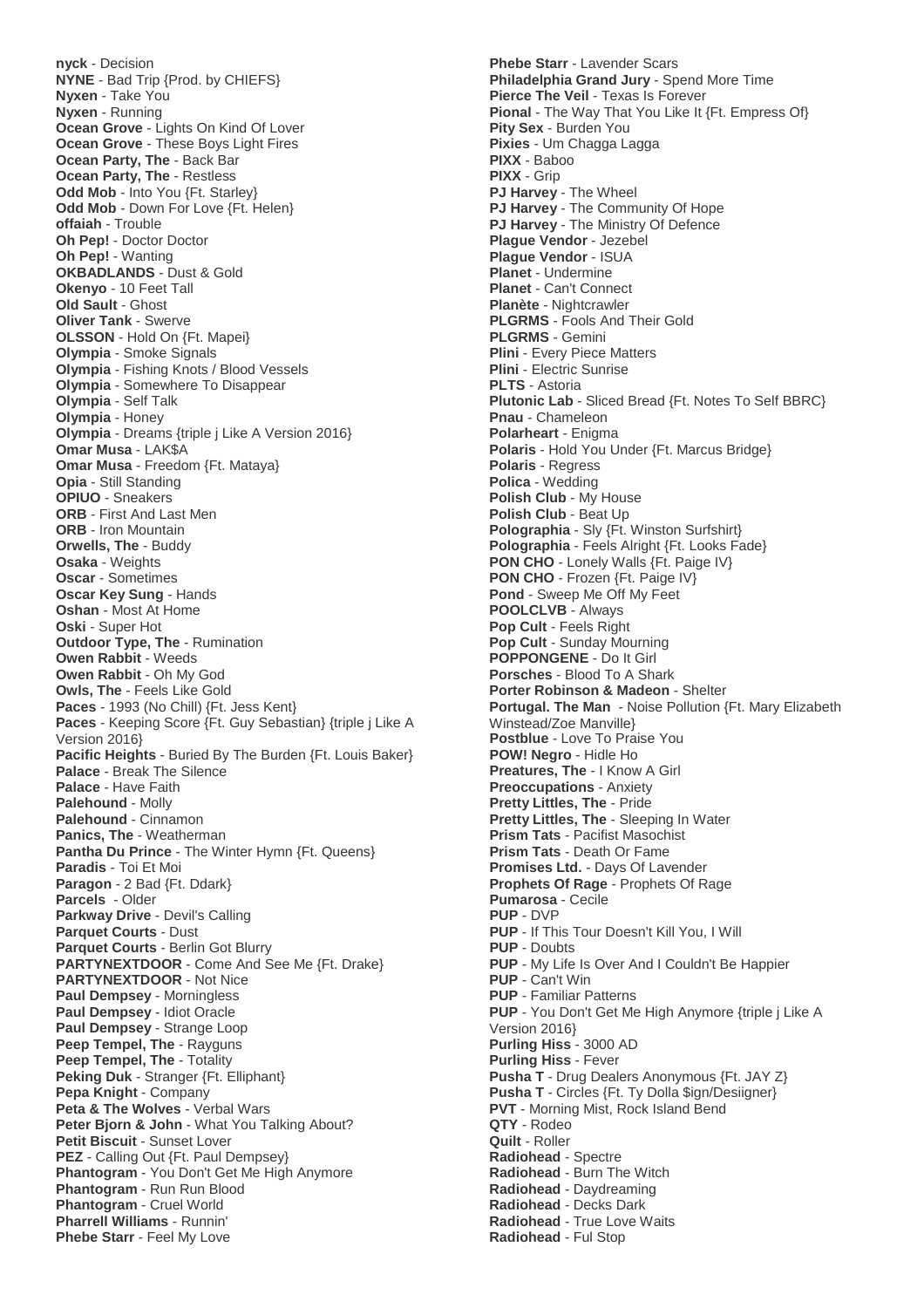**nyck** - Decision **NYNE** - Bad Trip {Prod. by CHIEFS} **Nyxen** - Take You **Nyxen** - Running **Ocean Grove** - Lights On Kind Of Lover **Ocean Grove** - These Boys Light Fires **Ocean Party, The** - Back Bar **Ocean Party, The** - Restless **Odd Mob - Into You {Ft. Starley} Odd Mob** - Down For Love {Ft. Helen} **offaiah** - Trouble **Oh Pep!** - Doctor Doctor **Oh Pep!** - Wanting **OKBADLANDS** - Dust & Gold **Okenyo** - 10 Feet Tall **Old Sault** - Ghost **Oliver Tank** - Swerve **OLSSON** - Hold On {Ft. Mapei} **Olympia** - Smoke Signals **Olympia** - Fishing Knots / Blood Vessels **Olympia** - Somewhere To Disappear **Olympia** - Self Talk **Olympia** - Honey **Olympia** - Dreams {triple j Like A Version 2016} **Omar Musa** - LAK\$A **Omar Musa** - Freedom {Ft. Mataya} **Opia** - Still Standing **OPIUO** - Sneakers **ORB** - First And Last Men **ORB** - Iron Mountain **Orwells, The** - Buddy **Osaka** - Weights **Oscar** - Sometimes **Oscar Key Sung** - Hands **Oshan** - Most At Home **Oski** - Super Hot **Outdoor Type, The** - Rumination **Owen Rabbit** - Weeds **Owen Rabbit** - Oh My God **Owls, The** - Feels Like Gold **Paces** - 1993 (No Chill) {Ft. Jess Kent} **Paces** - Keeping Score {Ft. Guy Sebastian} {triple j Like A Version 2016} **Pacific Heights** - Buried By The Burden {Ft. Louis Baker} **Palace** - Break The Silence **Palace** - Have Faith **Palehound** - Molly **Palehound** - Cinnamon **Panics, The** - Weatherman **Pantha Du Prince - The Winter Hymn {Ft. Queens} Paradis** - Toi Et Moi **Paragon** - 2 Bad {Ft. Ddark} **Parcels** - Older **Parkway Drive** - Devil's Calling **Parquet Courts** - Dust **Parquet Courts** - Berlin Got Blurry **PARTYNEXTDOOR** - Come And See Me {Ft. Drake} **PARTYNEXTDOOR** - Not Nice **Paul Dempsey** - Morningless **Paul Dempsey** - Idiot Oracle **Paul Dempsey** - Strange Loop **Peep Tempel, The** - Rayguns **Peep Tempel, The** - Totality **Peking Duk** - Stranger {Ft. Elliphant} **Pepa Knight** - Company **Peta & The Wolves** - Verbal Wars **Peter Bjorn & John** - What You Talking About? **Petit Biscuit** - Sunset Lover **PEZ** - Calling Out {Ft. Paul Dempsey} **Phantogram** - You Don't Get Me High Anymore **Phantogram** - Run Run Blood **Phantogram** - Cruel World **Pharrell Williams** - Runnin' **Phebe Starr** - Feel My Love

**Phebe Starr** - Lavender Scars **Philadelphia Grand Jury** - Spend More Time **Pierce The Veil** - Texas Is Forever **Pional** - The Way That You Like It {Ft. Empress Of} **Pity Sex** - Burden You **Pixies** - Um Chagga Lagga **PIXX** - Baboo **PIXX** - Grip **PJ Harvey** - The Wheel **PJ Harvey** - The Community Of Hope **PJ Harvey** - The Ministry Of Defence **Plague Vendor** - Jezebel **Plague Vendor** - ISUA **Planet** - Undermine **Planet** - Can't Connect **Planète** - Nightcrawler **PLGRMS** - Fools And Their Gold **PLGRMS** - Gemini **Plini** - Every Piece Matters **Plini** - Electric Sunrise **PLTS** - Astoria **Plutonic Lab** - Sliced Bread {Ft. Notes To Self BBRC} **Pnau** - Chameleon **Polarheart** - Enigma **Polaris** - Hold You Under {Ft. Marcus Bridge} **Polaris** - Regress **Polica** - Wedding **Polish Club** - My House **Polish Club** - Beat Up **Polographia** - Sly {Ft. Winston Surfshirt} **Polographia** - Feels Alright {Ft. Looks Fade} **PON CHO** - Lonely Walls {Ft. Paige IV} **PON CHO** - Frozen {Ft. Paige IV} **Pond** - Sweep Me Off My Feet **POOLCLVB** - Always **Pop Cult** - Feels Right **Pop Cult** - Sunday Mourning **POPPONGENE** - Do It Girl **Porsches** - Blood To A Shark **Porter Robinson & Madeon** - Shelter **Portugal. The Man** - Noise Pollution {Ft. Mary Elizabeth Winstead/Zoe Manville} **Postblue** - Love To Praise You **POW! Negro** - Hidle Ho **Preatures, The** - I Know A Girl **Preoccupations** - Anxiety **Pretty Littles, The** - Pride **Pretty Littles, The** - Sleeping In Water **Prism Tats** - Pacifist Masochist **Prism Tats** - Death Or Fame **Promises Ltd.** - Days Of Lavender **Prophets Of Rage** - Prophets Of Rage **Pumarosa** - Cecile **PUP** - DVP **PUP** - If This Tour Doesn't Kill You, I Will **PUP** - Doubts **PUP** - My Life Is Over And I Couldn't Be Happier **PUP** - Can't Win **PUP** - Familiar Patterns **PUP** - You Don't Get Me High Anymore {triple j Like A Version 2016} **Purling Hiss** - 3000 AD **Purling Hiss** - Fever **Pusha T** - Drug Dealers Anonymous {Ft. JAY Z} **Pusha T** - Circles {Ft. Ty Dolla \$ign/Desiigner} **PVT** - Morning Mist, Rock Island Bend **QTY** - Rodeo **Quilt** - Roller **Radiohead** - Spectre **Radiohead** - Burn The Witch **Radiohead** - Daydreaming **Radiohead** - Decks Dark **Radiohead** - True Love Waits **Radiohead** - Ful Stop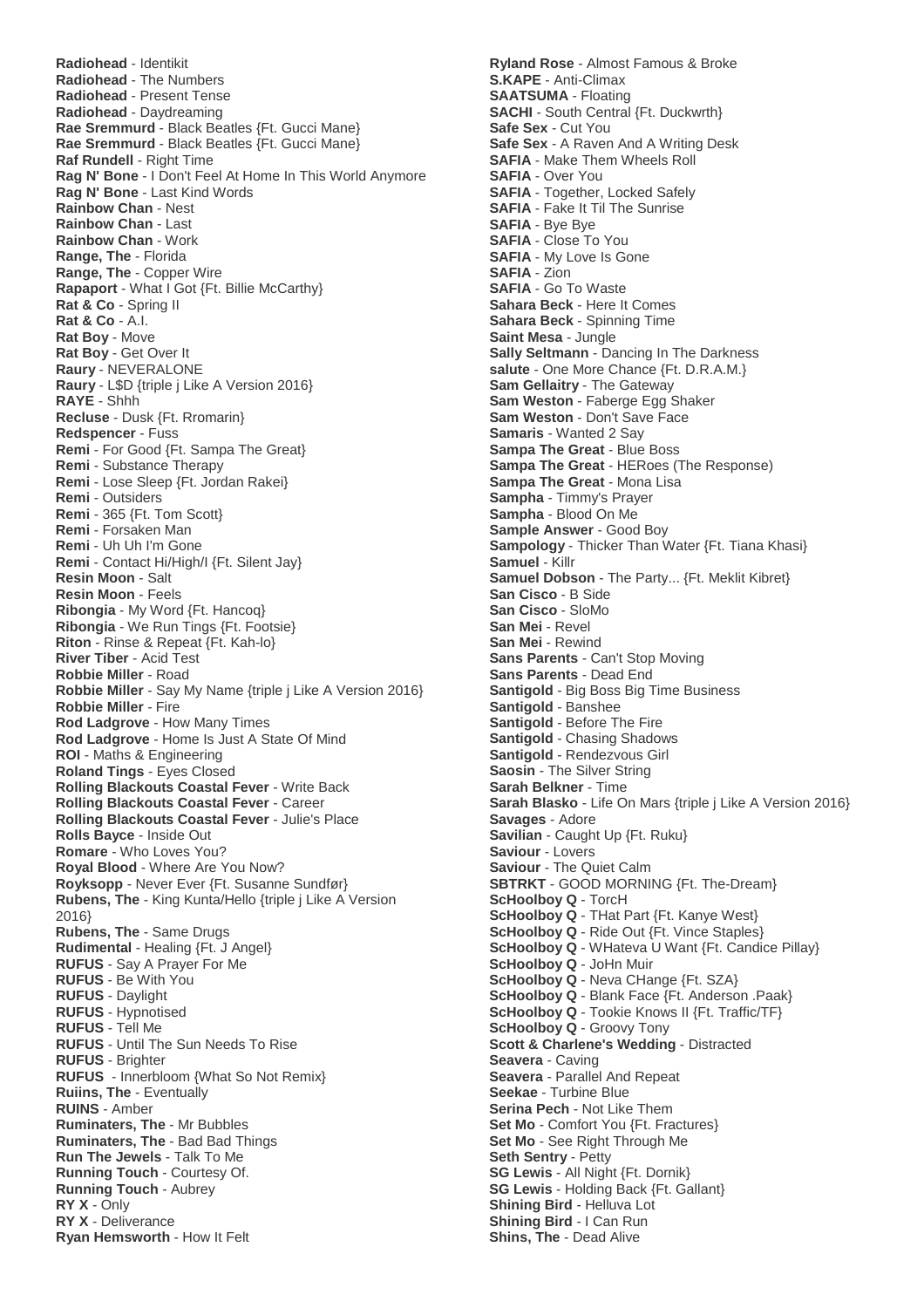**Radiohead** - Identikit **Radiohead** - The Numbers **Radiohead** - Present Tense **Radiohead** - Daydreaming **Rae Sremmurd** - Black Beatles {Ft. Gucci Mane} **Rae Sremmurd** - Black Beatles {Ft. Gucci Mane} **Raf Rundell** - Right Time **Rag N' Bone** - I Don't Feel At Home In This World Anymore **Rag N' Bone** - Last Kind Words **Rainbow Chan** - Nest **Rainbow Chan** - Last **Rainbow Chan** - Work **Range, The** - Florida **Range, The** - Copper Wire **Rapaport** - What I Got {Ft. Billie McCarthy} **Rat & Co** - Spring II **Rat & Co** - A.I. **Rat Boy** - Move **Rat Boy** - Get Over It **Raury** - NEVERALONE **Raury** - L\$D {triple j Like A Version 2016} **RAYE** - Shhh **Recluse** - Dusk {Ft. Rromarin} **Redspencer** - Fuss **Remi** - For Good {Ft. Sampa The Great} **Remi** - Substance Therapy **Remi** - Lose Sleep {Ft. Jordan Rakei} **Remi** - Outsiders **Remi** - 365 {Ft. Tom Scott} **Remi** - Forsaken Man **Remi** - Uh Uh I'm Gone **Remi** - Contact Hi/High/I {Ft. Silent Jay} **Resin Moon** - Salt **Resin Moon** - Feels **Ribongia** - My Word {Ft. Hancoq} **Ribongia** - We Run Tings {Ft. Footsie} **Riton** - Rinse & Repeat {Ft. Kah-lo} **River Tiber** - Acid Test **Robbie Miller** - Road **Robbie Miller** - Say My Name {triple j Like A Version 2016} **Robbie Miller** - Fire **Rod Ladgrove** - How Many Times **Rod Ladgrove** - Home Is Just A State Of Mind **ROI** - Maths & Engineering **Roland Tings** - Eyes Closed **Rolling Blackouts Coastal Fever** - Write Back **Rolling Blackouts Coastal Fever** - Career **Rolling Blackouts Coastal Fever** - Julie's Place **Rolls Bayce** - Inside Out **Romare** - Who Loves You? **Royal Blood** - Where Are You Now? **Royksopp** - Never Ever {Ft. Susanne Sundfør} **Rubens, The** - King Kunta/Hello {triple j Like A Version 2016} **Rubens, The** - Same Drugs **Rudimental** - Healing {Ft. J Angel} **RUFUS** - Say A Prayer For Me **RUFUS** - Be With You **RUFUS** - Daylight **RUFUS** - Hypnotised **RUFUS** - Tell Me **RUFUS** - Until The Sun Needs To Rise **RUFUS** - Brighter **RUFUS** - Innerbloom {What So Not Remix} **Ruiins, The** - Eventually **RUINS** - Amber **Ruminaters, The** - Mr Bubbles **Ruminaters, The** - Bad Bad Things **Run The Jewels** - Talk To Me **Running Touch** - Courtesy Of. **Running Touch** - Aubrey **RY X** - Only **RY X** - Deliverance **Ryan Hemsworth** - How It Felt

**Ryland Rose** - Almost Famous & Broke **S.KAPE** - Anti-Climax **SAATSUMA** - Floating **SACHI** - South Central {Ft. Duckwrth} **Safe Sex** - Cut You **Safe Sex** - A Raven And A Writing Desk **SAFIA** - Make Them Wheels Roll **SAFIA** - Over You **SAFIA** - Together, Locked Safely **SAFIA** - Fake It Til The Sunrise **SAFIA** - Bye Bye **SAFIA** - Close To You **SAFIA** - My Love Is Gone **SAFIA** - Zion **SAFIA** - Go To Waste **Sahara Beck** - Here It Comes **Sahara Beck** - Spinning Time **Saint Mesa** - Jungle **Sally Seltmann** - Dancing In The Darkness **salute** - One More Chance {Ft. D.R.A.M.} **Sam Gellaitry** - The Gateway **Sam Weston** - Faberge Egg Shaker **Sam Weston** - Don't Save Face **Samaris** - Wanted 2 Say **Sampa The Great** - Blue Boss **Sampa The Great** - HERoes (The Response) **Sampa The Great** - Mona Lisa **Sampha** - Timmy's Prayer **Sampha** - Blood On Me **Sample Answer** - Good Boy **Sampology** - Thicker Than Water {Ft. Tiana Khasi} **Samuel** - Killr **Samuel Dobson** - The Party... {Ft. Meklit Kibret} **San Cisco** - B Side **San Cisco** - SloMo **San Mei** - Revel **San Mei** - Rewind **Sans Parents** - Can't Stop Moving **Sans Parents** - Dead End **Santigold** - Big Boss Big Time Business **Santigold** - Banshee **Santigold** - Before The Fire **Santigold** - Chasing Shadows **Santigold** - Rendezvous Girl **Saosin** - The Silver String **Sarah Belkner** - Time **Sarah Blasko** - Life On Mars {triple j Like A Version 2016} **Savages** - Adore **Savilian** - Caught Up {Ft. Ruku} **Saviour** - Lovers **Saviour** - The Quiet Calm **SBTRKT** - GOOD MORNING {Ft. The-Dream} **ScHoolboy Q** - TorcH **ScHoolboy Q** - THat Part {Ft. Kanye West} **ScHoolboy Q** - Ride Out {Ft. Vince Staples} **ScHoolboy Q** - WHateva U Want {Ft. Candice Pillay} **ScHoolboy Q** - JoHn Muir **ScHoolboy Q** - Neva CHange {Ft. SZA} **ScHoolboy Q** - Blank Face {Ft. Anderson .Paak} **ScHoolboy Q** - Tookie Knows II {Ft. Traffic/TF} **ScHoolboy Q** - Groovy Tony **Scott & Charlene's Wedding** - Distracted **Seavera** - Caving **Seavera** - Parallel And Repeat **Seekae** - Turbine Blue **Serina Pech** - Not Like Them **Set Mo** - Comfort You {Ft. Fractures} **Set Mo** - See Right Through Me **Seth Sentry** - Petty **SG Lewis** - All Night {Ft. Dornik} **SG Lewis** - Holding Back {Ft. Gallant} **Shining Bird** - Helluva Lot **Shining Bird** - I Can Run **Shins, The** - Dead Alive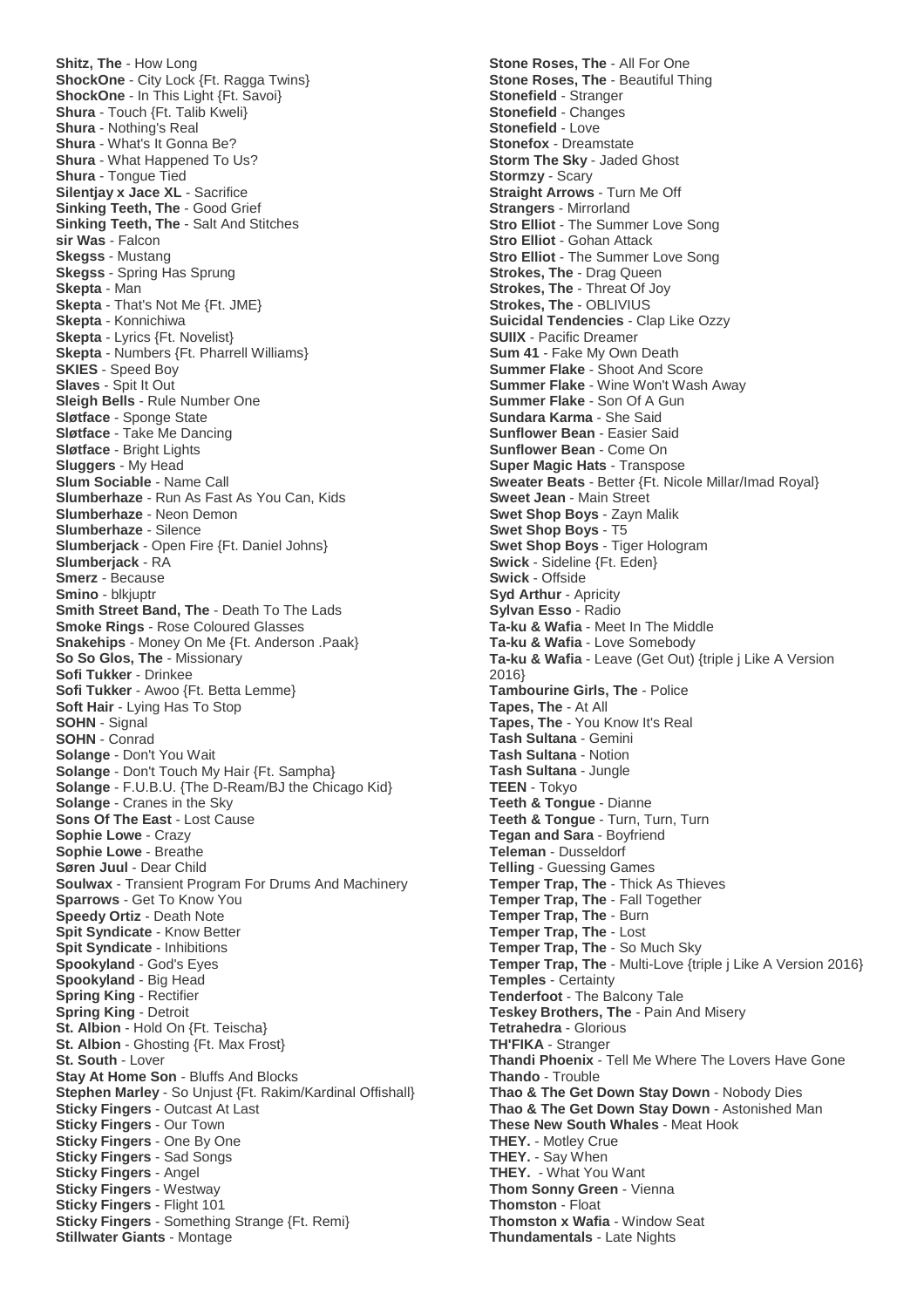**Shitz, The** - How Long **ShockOne** - City Lock {Ft. Ragga Twins} **ShockOne** - In This Light {Ft. Savoi} **Shura** - Touch {Ft. Talib Kweli} **Shura** - Nothing's Real **Shura** - What's It Gonna Be? **Shura** - What Happened To Us? **Shura** - Tongue Tied **Silentjay x Jace XL** - Sacrifice **Sinking Teeth, The** - Good Grief **Sinking Teeth, The** - Salt And Stitches **sir Was** - Falcon **Skegss** - Mustang **Skegss** - Spring Has Sprung **Skepta** - Man **Skepta** - That's Not Me {Ft. JME} **Skepta** - Konnichiwa **Skepta** - Lyrics {Ft. Novelist} **Skepta** - Numbers {Ft. Pharrell Williams} **SKIES** - Speed Boy **Slaves** - Spit It Out **Sleigh Bells** - Rule Number One **Sløtface** - Sponge State **Sløtface** - Take Me Dancing **Sløtface** - Bright Lights **Sluggers** - My Head **Slum Sociable** - Name Call **Slumberhaze** - Run As Fast As You Can, Kids **Slumberhaze** - Neon Demon **Slumberhaze** - Silence **Slumberjack** - Open Fire {Ft. Daniel Johns} **Slumberjack** - RA **Smerz** - Because **Smino** - blkjuptr **Smith Street Band, The** - Death To The Lads **Smoke Rings** - Rose Coloured Glasses **Snakehips** - Money On Me {Ft. Anderson .Paak} **So So Glos, The** - Missionary **Sofi Tukker** - Drinkee **Sofi Tukker** - Awoo {Ft. Betta Lemme} **Soft Hair** - Lying Has To Stop **SOHN** - Signal **SOHN** - Conrad **Solange** - Don't You Wait **Solange** - Don't Touch My Hair {Ft. Sampha} **Solange** - F.U.B.U. {The D-Ream/BJ the Chicago Kid} **Solange** - Cranes in the Sky **Sons Of The East** - Lost Cause **Sophie Lowe** - Crazy **Sophie Lowe** - Breathe **Søren Juul** - Dear Child **Soulwax** - Transient Program For Drums And Machinery **Sparrows** - Get To Know You **Speedy Ortiz** - Death Note **Spit Syndicate** - Know Better **Spit Syndicate** - Inhibitions **Spookyland** - God's Eyes **Spookyland** - Big Head **Spring King** - Rectifier **Spring King** - Detroit **St. Albion - Hold On {Ft. Teischa} St. Albion - Ghosting {Ft. Max Frost} St. South** - Lover **Stay At Home Son** - Bluffs And Blocks **Stephen Marley** - So Unjust {Ft. Rakim/Kardinal Offishall} **Sticky Fingers** - Outcast At Last **Sticky Fingers** - Our Town **Sticky Fingers** - One By One **Sticky Fingers** - Sad Songs **Sticky Fingers** - Angel **Sticky Fingers** - Westway **Sticky Fingers** - Flight 101 **Sticky Fingers** - Something Strange {Ft. Remi} **Stillwater Giants** - Montage

**Stone Roses, The** - All For One **Stone Roses, The** - Beautiful Thing **Stonefield** - Stranger **Stonefield** - Changes **Stonefield** - Love **Stonefox** - Dreamstate **Storm The Sky** - Jaded Ghost **Stormzy** - Scary **Straight Arrows** - Turn Me Off **Strangers** - Mirrorland **Stro Elliot - The Summer Love Song Stro Elliot - Gohan Attack Stro Elliot** - The Summer Love Song **Strokes, The** - Drag Queen **Strokes, The** - Threat Of Joy **Strokes, The** - OBLIVIUS **Suicidal Tendencies** - Clap Like Ozzy **SUIIX** - Pacific Dreamer **Sum 41** - Fake My Own Death **Summer Flake** - Shoot And Score **Summer Flake** - Wine Won't Wash Away **Summer Flake** - Son Of A Gun **Sundara Karma** - She Said **Sunflower Bean** - Easier Said **Sunflower Bean** - Come On **Super Magic Hats** - Transpose **Sweater Beats** - Better {Ft. Nicole Millar/Imad Royal} **Sweet Jean** - Main Street **Swet Shop Boys** - Zayn Malik **Swet Shop Boys** - T5 **Swet Shop Boys** - Tiger Hologram **Swick** - Sideline {Ft. Eden} **Swick** - Offside **Syd Arthur - Apricity Sylvan Esso** - Radio **Ta-ku & Wafia** - Meet In The Middle **Ta-ku & Wafia** - Love Somebody **Ta-ku & Wafia** - Leave (Get Out) {triple j Like A Version 2016} **Tambourine Girls, The** - Police **Tapes, The** - At All **Tapes, The** - You Know It's Real **Tash Sultana** - Gemini **Tash Sultana** - Notion **Tash Sultana** - Jungle **TEEN** - Tokyo **Teeth & Tongue** - Dianne **Teeth & Tongue** - Turn, Turn, Turn **Tegan and Sara** - Boyfriend **Teleman** - Dusseldorf **Telling** - Guessing Games **Temper Trap, The** - Thick As Thieves **Temper Trap, The** - Fall Together **Temper Trap, The** - Burn **Temper Trap, The** - Lost **Temper Trap, The** - So Much Sky **Temper Trap, The** - Multi-Love {triple j Like A Version 2016} **Temples** - Certainty **Tenderfoot** - The Balcony Tale **Teskey Brothers, The** - Pain And Misery **Tetrahedra** - Glorious **TH'FIKA** - Stranger **Thandi Phoenix** - Tell Me Where The Lovers Have Gone **Thando** - Trouble **Thao & The Get Down Stay Down** - Nobody Dies **Thao & The Get Down Stay Down** - Astonished Man **These New South Whales** - Meat Hook **THEY.** - Motley Crue **THEY.** - Say When **THEY.** - What You Want **Thom Sonny Green** - Vienna **Thomston** - Float **Thomston x Wafia** - Window Seat **Thundamentals** - Late Nights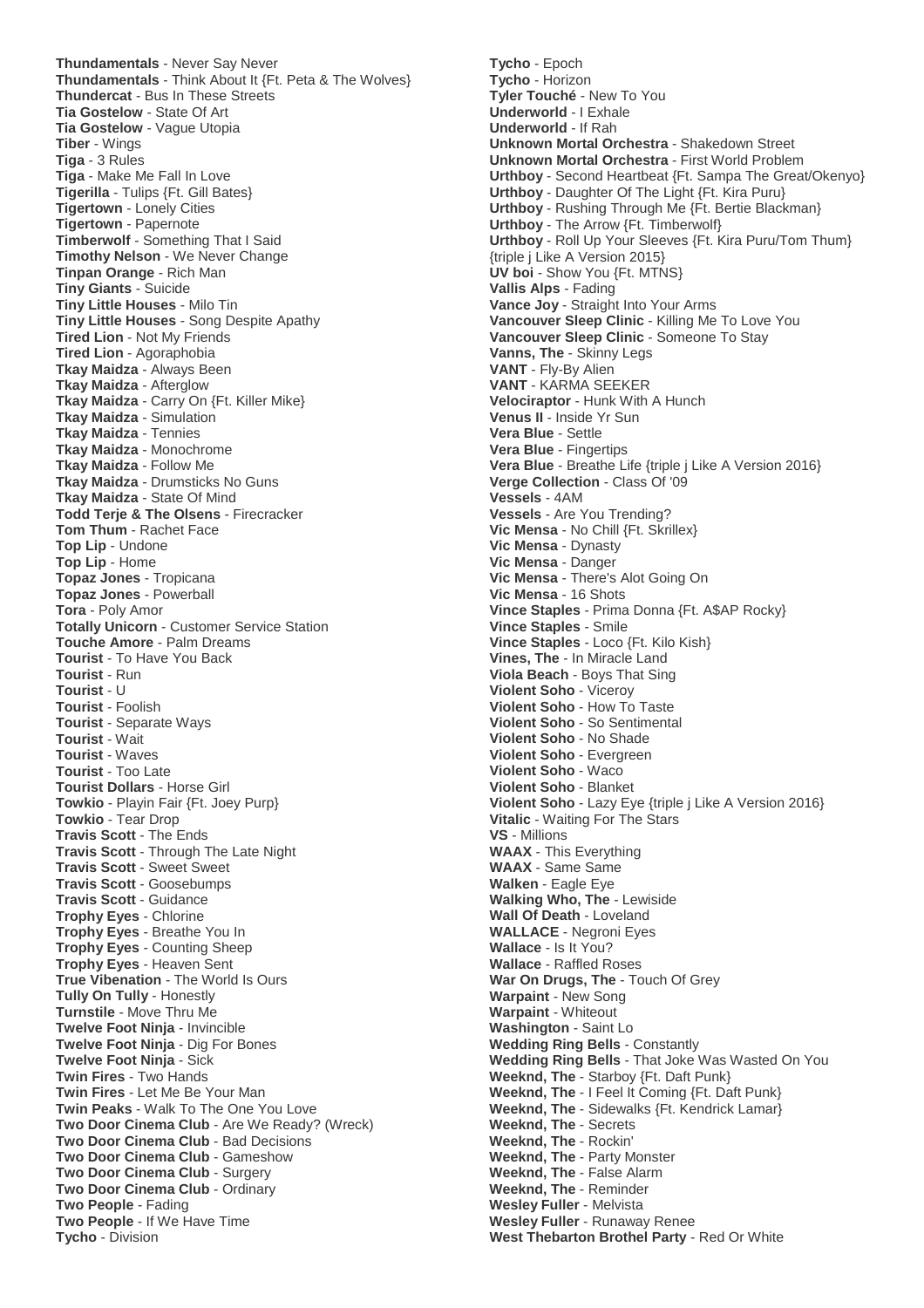**Thundamentals** - Never Say Never **Thundamentals** - Think About It {Ft. Peta & The Wolves} **Thundercat** - Bus In These Streets **Tia Gostelow** - State Of Art **Tia Gostelow** - Vague Utopia **Tiber** - Wings **Tiga** - 3 Rules **Tiga** - Make Me Fall In Love **Tigerilla** - Tulips {Ft. Gill Bates} **Tigertown** - Lonely Cities **Tigertown** - Papernote **Timberwolf** - Something That I Said **Timothy Nelson** - We Never Change **Tinpan Orange** - Rich Man **Tiny Giants** - Suicide **Tiny Little Houses** - Milo Tin **Tiny Little Houses** - Song Despite Apathy **Tired Lion** - Not My Friends **Tired Lion** - Agoraphobia **Tkay Maidza** - Always Been **Tkay Maidza** - Afterglow **Tkay Maidza** - Carry On {Ft. Killer Mike} **Tkay Maidza** - Simulation **Tkay Maidza** - Tennies **Tkay Maidza** - Monochrome **Tkay Maidza** - Follow Me **Tkay Maidza** - Drumsticks No Guns **Tkay Maidza** - State Of Mind **Todd Terje & The Olsens** - Firecracker **Tom Thum** - Rachet Face **Top Lip** - Undone **Top Lip** - Home **Topaz Jones** - Tropicana **Topaz Jones** - Powerball **Tora** - Poly Amor **Totally Unicorn** - Customer Service Station **Touche Amore** - Palm Dreams **Tourist** - To Have You Back **Tourist** - Run **Tourist** - U **Tourist** - Foolish **Tourist** - Separate Ways **Tourist** - Wait **Tourist** - Waves **Tourist** - Too Late **Tourist Dollars** - Horse Girl **Towkio** - Playin Fair {Ft. Joey Purp} **Towkio** - Tear Drop **Travis Scott** - The Ends **Travis Scott** - Through The Late Night **Travis Scott** - Sweet Sweet **Travis Scott** - Goosebumps **Travis Scott** - Guidance **Trophy Eyes** - Chlorine **Trophy Eyes** - Breathe You In **Trophy Eyes** - Counting Sheep **Trophy Eyes** - Heaven Sent **True Vibenation** - The World Is Ours **Tully On Tully** - Honestly **Turnstile** - Move Thru Me **Twelve Foot Ninja** - Invincible **Twelve Foot Ninja** - Dig For Bones **Twelve Foot Ninja** - Sick **Twin Fires** - Two Hands **Twin Fires** - Let Me Be Your Man **Twin Peaks** - Walk To The One You Love **Two Door Cinema Club** - Are We Ready? (Wreck) **Two Door Cinema Club** - Bad Decisions **Two Door Cinema Club** - Gameshow **Two Door Cinema Club** - Surgery **Two Door Cinema Club** - Ordinary **Two People** - Fading **Two People** - If We Have Time **Tycho** - Division

**Tycho** - Epoch **Tycho** - Horizon **Tyler Touché** - New To You **Underworld** - I Exhale **Underworld** - If Rah **Unknown Mortal Orchestra** - Shakedown Street **Unknown Mortal Orchestra** - First World Problem **Urthboy** - Second Heartbeat {Ft. Sampa The Great/Okenyo} **Urthboy** - Daughter Of The Light {Ft. Kira Puru} **Urthboy** - Rushing Through Me {Ft. Bertie Blackman} **Urthboy** - The Arrow {Ft. Timberwolf} **Urthboy** - Roll Up Your Sleeves {Ft. Kira Puru/Tom Thum} {triple j Like A Version 2015} **UV boi** - Show You {Ft. MTNS} **Vallis Alps** - Fading **Vance Joy** - Straight Into Your Arms **Vancouver Sleep Clinic** - Killing Me To Love You **Vancouver Sleep Clinic** - Someone To Stay **Vanns, The** - Skinny Legs **VANT** - Fly-By Alien **VANT** - KARMA SEEKER **Velociraptor** - Hunk With A Hunch **Venus II** - Inside Yr Sun **Vera Blue** - Settle **Vera Blue** - Fingertips **Vera Blue** - Breathe Life {triple j Like A Version 2016} **Verge Collection** - Class Of '09 **Vessels** - 4AM **Vessels** - Are You Trending? **Vic Mensa** - No Chill {Ft. Skrillex} **Vic Mensa** - Dynasty **Vic Mensa** - Danger **Vic Mensa** - There's Alot Going On **Vic Mensa** - 16 Shots **Vince Staples** - Prima Donna {Ft. A\$AP Rocky} **Vince Staples** - Smile **Vince Staples** - Loco {Ft. Kilo Kish} **Vines, The** - In Miracle Land **Viola Beach** - Boys That Sing **Violent Soho** - Viceroy **Violent Soho** - How To Taste **Violent Soho** - So Sentimental **Violent Soho** - No Shade **Violent Soho** - Evergreen **Violent Soho** - Waco **Violent Soho** - Blanket **Violent Soho** - Lazy Eye {triple j Like A Version 2016} **Vitalic** - Waiting For The Stars **VS** - Millions **WAAX** - This Everything **WAAX** - Same Same **Walken** - Eagle Eye **Walking Who, The** - Lewiside **Wall Of Death** - Loveland **WALLACE** - Negroni Eyes **Wallace** - Is It You? **Wallace** - Raffled Roses **War On Drugs, The** - Touch Of Grey **Warpaint** - New Song **Warpaint** - Whiteout **Washington** - Saint Lo **Wedding Ring Bells** - Constantly **Wedding Ring Bells** - That Joke Was Wasted On You **Weeknd, The** - Starboy {Ft. Daft Punk} **Weeknd, The** - I Feel It Coming {Ft. Daft Punk} **Weeknd, The** - Sidewalks {Ft. Kendrick Lamar} **Weeknd, The** - Secrets **Weeknd, The** - Rockin' **Weeknd, The** - Party Monster **Weeknd, The** - False Alarm **Weeknd, The** - Reminder **Wesley Fuller** - Melvista **Wesley Fuller** - Runaway Renee **West Thebarton Brothel Party** - Red Or White